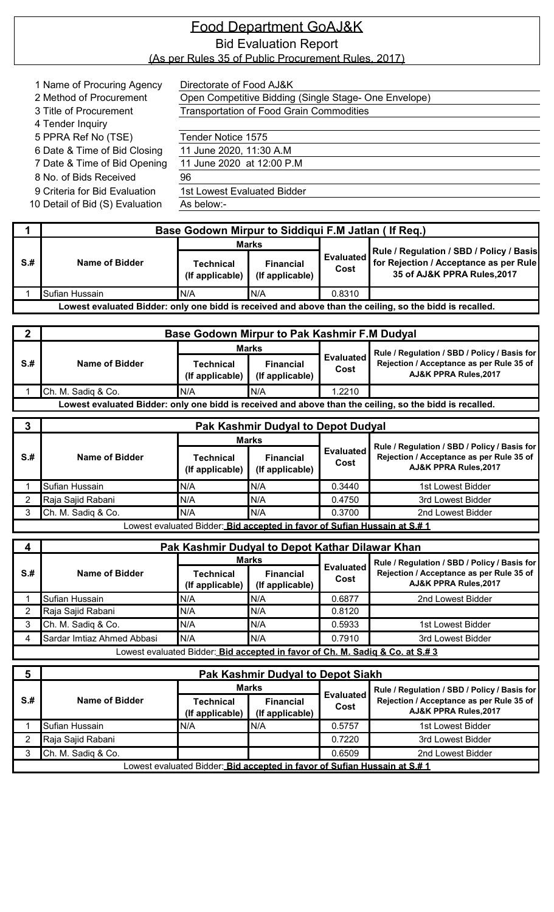| 1 Name of Procuring Agency      | Directorate of Food AJ&K                              |
|---------------------------------|-------------------------------------------------------|
| 2 Method of Procurement         | Open Competitive Bidding (Single Stage- One Envelope) |
| 3 Title of Procurement          | <b>Transportation of Food Grain Commodities</b>       |
| 4 Tender Inquiry                |                                                       |
| 5 PPRA Ref No (TSE)             | Tender Notice 1575                                    |
| 6 Date & Time of Bid Closing    | 11 June 2020, 11:30 A.M                               |
| 7 Date & Time of Bid Opening    | 11 June 2020 at 12:00 P.M                             |
| 8 No. of Bids Received          | 96                                                    |
| 9 Criteria for Bid Evaluation   | 1st Lowest Evaluated Bidder                           |
| 10 Detail of Bid (S) Evaluation | As below:-                                            |

|                                                                                                         | Base Godown Mirpur to Siddiqui F.M Jatlan (If Req.) |                                     |                                     |                          |                                                                                                                   |  |  |  |
|---------------------------------------------------------------------------------------------------------|-----------------------------------------------------|-------------------------------------|-------------------------------------|--------------------------|-------------------------------------------------------------------------------------------------------------------|--|--|--|
|                                                                                                         |                                                     | <b>Marks</b>                        |                                     |                          |                                                                                                                   |  |  |  |
| $S+$                                                                                                    | Name of Bidder                                      | <b>Technical</b><br>(If applicable) | <b>Financial</b><br>(If applicable) | <b>Evaluated</b><br>Cost | Rule / Regulation / SBD / Policy / Basis<br>for Rejection / Acceptance as per Rule<br>35 of AJ&K PPRA Rules, 2017 |  |  |  |
|                                                                                                         | Sufian Hussain                                      | N/A                                 | IN/A                                | 0.8310                   |                                                                                                                   |  |  |  |
| Lowest evaluated Bidder: only one bidd is received and above than the ceiling, so the bidd is recalled. |                                                     |                                     |                                     |                          |                                                                                                                   |  |  |  |

|     | <b>Base Godown Mirpur to Pak Kashmir F.M Dudyal</b> |                              |                                     |                          |                                                                                                         |
|-----|-----------------------------------------------------|------------------------------|-------------------------------------|--------------------------|---------------------------------------------------------------------------------------------------------|
|     |                                                     | <b>Marks</b>                 |                                     |                          | Rule / Regulation / SBD / Policy / Basis for                                                            |
| S.H | Name of Bidder                                      | Technical<br>(If applicable) | <b>Financial</b><br>(If applicable) | <b>Evaluated</b><br>Cost | Rejection / Acceptance as per Rule 35 of<br><b>AJ&amp;K PPRA Rules.2017</b>                             |
|     | Ch. M. Sadiq & Co.                                  | IN/A                         | IN/A                                | .2210                    |                                                                                                         |
|     |                                                     |                              |                                     |                          | Lowest evaluated Bidder: only one bidd is received and above than the ceiling, so the bidd is recalled. |

|     | <b>Pak Kashmir Dudyal to Depot Dudyal</b>      |                                                                           |                                                                                                                   |                          |                   |  |
|-----|------------------------------------------------|---------------------------------------------------------------------------|-------------------------------------------------------------------------------------------------------------------|--------------------------|-------------------|--|
|     |                                                | <b>Marks</b>                                                              |                                                                                                                   | <b>Evaluated</b><br>Cost |                   |  |
| S.H | Name of Bidder<br>Technical<br>(If applicable) | <b>Financial</b><br>(If applicable)                                       | Rule / Regulation / SBD / Policy / Basis for<br>Rejection / Acceptance as per Rule 35 of<br>AJ&K PPRA Rules, 2017 |                          |                   |  |
|     | Sufian Hussain                                 | N/A                                                                       | N/A                                                                                                               | 0.3440                   | 1st Lowest Bidder |  |
|     | Raja Sajid Rabani                              | N/A                                                                       | N/A                                                                                                               | 0.4750                   | 3rd Lowest Bidder |  |
|     | Ch. M. Sadiq & Co.                             | N/A                                                                       | N/A                                                                                                               | 0.3700                   | 2nd Lowest Bidder |  |
|     |                                                | Lowest evaluated Bidder: Bid accepted in favor of Sufian Hussain at S.# 1 |                                                                                                                   |                          |                   |  |

|        | Pak Kashmir Dudyal to Depot Kathar Dilawar Khan                               |                              |                                     |                          |                                                                                                                   |  |  |
|--------|-------------------------------------------------------------------------------|------------------------------|-------------------------------------|--------------------------|-------------------------------------------------------------------------------------------------------------------|--|--|
|        |                                                                               |                              | Marks                               | <b>Evaluated</b><br>Cost | Rule / Regulation / SBD / Policy / Basis for<br>Rejection / Acceptance as per Rule 35 of<br>AJ&K PPRA Rules, 2017 |  |  |
| $S$ .# | Name of Bidder                                                                | Technical<br>(If applicable) | <b>Financial</b><br>(If applicable) |                          |                                                                                                                   |  |  |
|        | Sufian Hussain                                                                | N/A                          | N/A                                 | 0.6877                   | 2nd Lowest Bidder                                                                                                 |  |  |
|        | Raja Sajid Rabani                                                             | IN/A                         | N/A                                 | 0.8120                   |                                                                                                                   |  |  |
|        | Ch. M. Sadiq & Co.                                                            | N/A                          | N/A                                 | 0.5933                   | 1st Lowest Bidder                                                                                                 |  |  |
|        | Sardar Imtiaz Ahmed Abbasi                                                    | N/A                          | N/A                                 | 0.7910                   | 3rd Lowest Bidder                                                                                                 |  |  |
|        | Lowest evaluated Bidder: Bid accepted in favor of Ch. M. Sadia & Co. at S.# 3 |                              |                                     |                          |                                                                                                                   |  |  |

| 5    | Pak Kashmir Dudyal to Depot Siakh |                                                                           |                                     |                          |                                                                   |  |  |
|------|-----------------------------------|---------------------------------------------------------------------------|-------------------------------------|--------------------------|-------------------------------------------------------------------|--|--|
|      | Name of Bidder                    | <b>Marks</b>                                                              |                                     |                          | Rule / Regulation / SBD / Policy / Basis for                      |  |  |
| $S+$ |                                   | Technical<br>(If applicable)                                              | <b>Financial</b><br>(If applicable) | <b>Evaluated</b><br>Cost | Rejection / Acceptance as per Rule 35 of<br>AJ&K PPRA Rules, 2017 |  |  |
|      | Sufian Hussain                    | N/A                                                                       | N/A                                 | 0.5757                   | 1st Lowest Bidder                                                 |  |  |
|      | Raja Sajid Rabani                 |                                                                           |                                     | 0.7220                   | 3rd Lowest Bidder                                                 |  |  |
|      | Ch. M. Sadiq & Co.                |                                                                           |                                     | 0.6509                   | 2nd Lowest Bidder                                                 |  |  |
|      |                                   | Lowest evaluated Bidder: Bid accepted in favor of Sufian Hussain at S.# 1 |                                     |                          |                                                                   |  |  |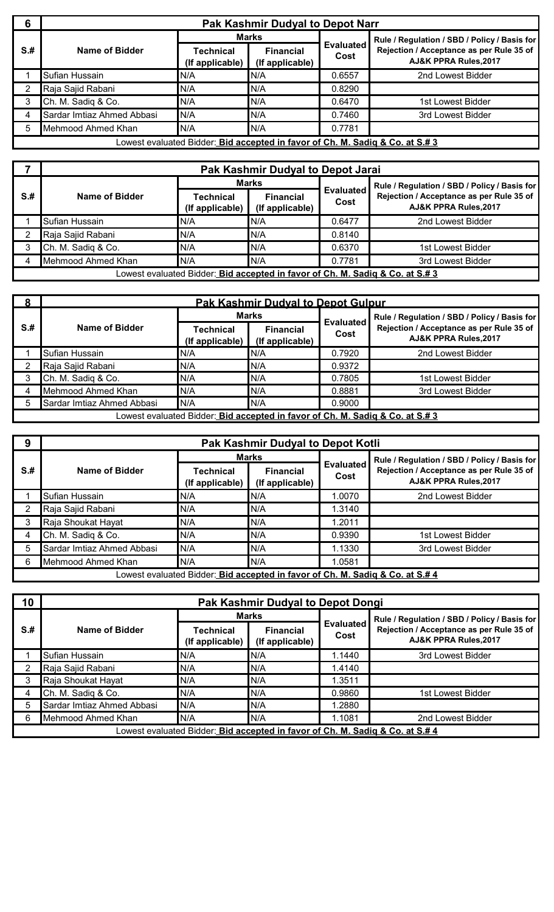| 6           | Pak Kashmir Dudyal to Depot Narr |                                                                               |                                     |                          |                                                                                                                   |  |  |
|-------------|----------------------------------|-------------------------------------------------------------------------------|-------------------------------------|--------------------------|-------------------------------------------------------------------------------------------------------------------|--|--|
|             |                                  |                                                                               | <b>Marks</b>                        | <b>Evaluated</b><br>Cost | Rule / Regulation / SBD / Policy / Basis for<br>Rejection / Acceptance as per Rule 35 of<br>AJ&K PPRA Rules, 2017 |  |  |
| $S+$        | Name of Bidder                   | Technical<br>(If applicable)                                                  | <b>Financial</b><br>(If applicable) |                          |                                                                                                                   |  |  |
|             | Sufian Hussain                   | N/A                                                                           | N/A                                 | 0.6557                   | 2nd Lowest Bidder                                                                                                 |  |  |
|             | Raja Sajid Rabani                | N/A                                                                           | N/A                                 | 0.8290                   |                                                                                                                   |  |  |
|             | Ch. M. Sadiq & Co.               | N/A                                                                           | N/A                                 | 0.6470                   | 1st Lowest Bidder                                                                                                 |  |  |
| 4           | Sardar Imtiaz Ahmed Abbasi       | N/A                                                                           | N/A                                 | 0.7460                   | 3rd Lowest Bidder                                                                                                 |  |  |
| $5^{\circ}$ | Mehmood Ahmed Khan               | N/A                                                                           | N/A                                 | 0.7781                   |                                                                                                                   |  |  |
|             |                                  | Lowest evaluated Bidder: Bid accepted in favor of Ch. M. Sadiq & Co. at S.# 3 |                                     |                          |                                                                                                                   |  |  |

|      | Pak Kashmir Dudyal to Depot Jarai |                                                                               |                                     |                          |                                                                   |  |
|------|-----------------------------------|-------------------------------------------------------------------------------|-------------------------------------|--------------------------|-------------------------------------------------------------------|--|
|      |                                   | <b>Marks</b>                                                                  |                                     |                          | Rule / Regulation / SBD / Policy / Basis for                      |  |
| $S+$ | Name of Bidder                    | Technical<br>(If applicable)                                                  | <b>Financial</b><br>(If applicable) | <b>Evaluated</b><br>Cost | Rejection / Acceptance as per Rule 35 of<br>AJ&K PPRA Rules, 2017 |  |
|      | Sufian Hussain                    | N/A                                                                           | N/A                                 | 0.6477                   | 2nd Lowest Bidder                                                 |  |
|      | Raja Sajid Rabani                 | N/A                                                                           | N/A                                 | 0.8140                   |                                                                   |  |
| 3    | Ch. M. Sadiq & Co.                | N/A                                                                           | IN/A                                | 0.6370                   | 1st Lowest Bidder                                                 |  |
| 4    | Mehmood Ahmed Khan                | N/A                                                                           | IN/A                                | 0.7781                   | 3rd Lowest Bidder                                                 |  |
|      |                                   | Lowest evaluated Bidder: Bid accepted in favor of Ch. M. Sadiq & Co. at S.# 3 |                                     |                          |                                                                   |  |

| $\Omega$ | <b>Pak Kashmir Dudval to Depot Gulpur</b> |                                                                               |                                     |                          |                                                                   |  |
|----------|-------------------------------------------|-------------------------------------------------------------------------------|-------------------------------------|--------------------------|-------------------------------------------------------------------|--|
|          |                                           |                                                                               | <b>Marks</b>                        |                          | Rule / Regulation / SBD / Policy / Basis for                      |  |
| $S+$     | Name of Bidder                            | Technical<br>(If applicable)                                                  | <b>Financial</b><br>(If applicable) | <b>Evaluated</b><br>Cost | Rejection / Acceptance as per Rule 35 of<br>AJ&K PPRA Rules, 2017 |  |
|          | Sufian Hussain                            | N/A                                                                           | N/A                                 | 0.7920                   | 2nd Lowest Bidder                                                 |  |
|          | Raja Sajid Rabani                         | N/A                                                                           | N/A                                 | 0.9372                   |                                                                   |  |
|          | Ch. M. Sadiq & Co.                        | N/A                                                                           | N/A                                 | 0.7805                   | 1st Lowest Bidder                                                 |  |
|          | Mehmood Ahmed Khan                        | N/A                                                                           | N/A                                 | 0.8881                   | 3rd Lowest Bidder                                                 |  |
|          | Sardar Imtiaz Ahmed Abbasi                | N/A                                                                           | N/A                                 | 0.9000                   |                                                                   |  |
|          |                                           | Lowest evaluated Bidder: Bid accepted in favor of Ch. M. Sadiq & Co. at S.# 3 |                                     |                          |                                                                   |  |

| 9    | Pak Kashmir Dudyal to Depot Kotli |                                                                               |                                     |                          |                                                                   |  |
|------|-----------------------------------|-------------------------------------------------------------------------------|-------------------------------------|--------------------------|-------------------------------------------------------------------|--|
|      |                                   |                                                                               | <b>Marks</b>                        |                          | Rule / Regulation / SBD / Policy / Basis for                      |  |
| $S+$ | Name of Bidder                    | <b>Technical</b><br>(If applicable)                                           | <b>Financial</b><br>(If applicable) | <b>Evaluated</b><br>Cost | Rejection / Acceptance as per Rule 35 of<br>AJ&K PPRA Rules, 2017 |  |
|      | Sufian Hussain                    | N/A                                                                           | N/A                                 | 0070.                    | 2nd Lowest Bidder                                                 |  |
|      | Raja Sajid Rabani                 | N/A                                                                           | N/A                                 | 1.3140                   |                                                                   |  |
|      | Raja Shoukat Hayat                | N/A                                                                           | N/A                                 | 1.2011                   |                                                                   |  |
|      | Ch. M. Sadiq & Co.                | N/A                                                                           | N/A                                 | 0.9390                   | 1st Lowest Bidder                                                 |  |
|      | Sardar Imtiaz Ahmed Abbasi        | N/A                                                                           | N/A                                 | 1.1330                   | 3rd Lowest Bidder                                                 |  |
| 6    | Mehmood Ahmed Khan                | N/A                                                                           | N/A                                 | 1.0581                   |                                                                   |  |
|      |                                   | Lowest evaluated Bidder: Bid accepted in favor of Ch. M. Sadig & Co. at S.# 4 |                                     |                          |                                                                   |  |

| 10   | Pak Kashmir Dudyal to Depot Dongi |                                                                               |                                     |                          |                                                                   |  |
|------|-----------------------------------|-------------------------------------------------------------------------------|-------------------------------------|--------------------------|-------------------------------------------------------------------|--|
|      |                                   |                                                                               | <b>Marks</b>                        |                          | Rule / Regulation / SBD / Policy / Basis for                      |  |
| $S+$ | Name of Bidder                    | Technical<br>(If applicable)                                                  | <b>Financial</b><br>(If applicable) | <b>Evaluated</b><br>Cost | Rejection / Acceptance as per Rule 35 of<br>AJ&K PPRA Rules, 2017 |  |
|      | Sufian Hussain                    | N/A                                                                           | N/A                                 | 1.1440                   | 3rd Lowest Bidder                                                 |  |
|      | Raja Sajid Rabani                 | N/A                                                                           | N/A                                 | 1.4140                   |                                                                   |  |
|      | Raja Shoukat Hayat                | N/A                                                                           | N/A                                 | .3511                    |                                                                   |  |
| 4    | Ch. M. Sadiq & Co.                | N/A                                                                           | N/A                                 | 0.9860                   | 1st Lowest Bidder                                                 |  |
| 5    | Sardar Imtiaz Ahmed Abbasi        | N/A                                                                           | N/A                                 | 1.2880                   |                                                                   |  |
| 6    | Mehmood Ahmed Khan                | N/A                                                                           | N/A                                 | 1.1081                   | 2nd Lowest Bidder                                                 |  |
|      |                                   | Lowest evaluated Bidder: Bid accepted in favor of Ch. M. Sadig & Co. at S.# 4 |                                     |                          |                                                                   |  |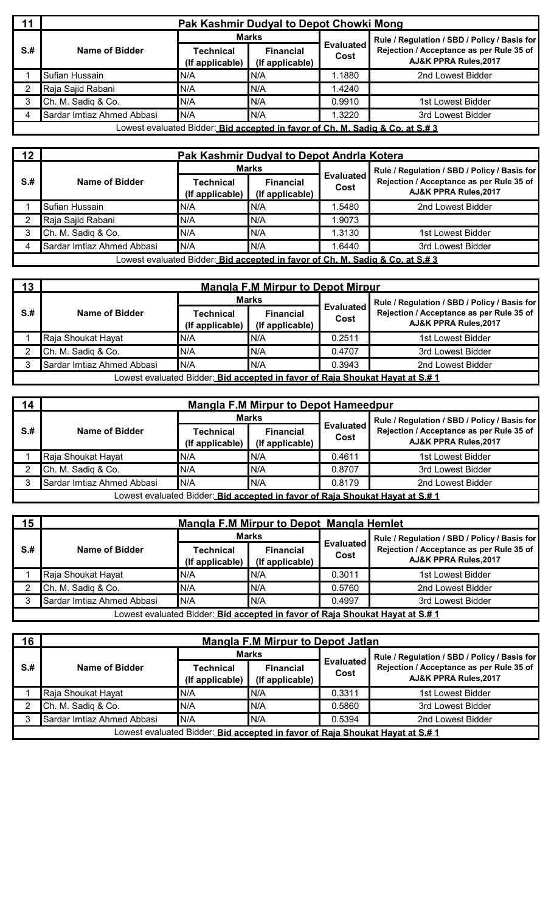| 11<br>Pak Kashmir Dudyal to Depot Chowki Mong |                            |                                                                               |                                     |                          |                                                                   |
|-----------------------------------------------|----------------------------|-------------------------------------------------------------------------------|-------------------------------------|--------------------------|-------------------------------------------------------------------|
| $S+$                                          |                            | <b>Marks</b>                                                                  |                                     |                          | Rule / Regulation / SBD / Policy / Basis for                      |
|                                               | Name of Bidder             | Technical<br>(If applicable)                                                  | <b>Financial</b><br>(If applicable) | <b>Evaluated</b><br>Cost | Rejection / Acceptance as per Rule 35 of<br>AJ&K PPRA Rules, 2017 |
|                                               | Sufian Hussain             | N/A                                                                           | N/A                                 | .1880                    | 2nd Lowest Bidder                                                 |
|                                               | Raja Sajid Rabani          | N/A                                                                           | IN/A                                | 1.4240                   |                                                                   |
|                                               | Ch. M. Sadiq & Co.         | N/A                                                                           | N/A                                 | 0.9910                   | 1st Lowest Bidder                                                 |
| 4                                             | Sardar Imtiaz Ahmed Abbasi | N/A                                                                           | N/A                                 | .3220                    | 3rd Lowest Bidder                                                 |
|                                               |                            | Lowest evaluated Bidder: Bid accepted in favor of Ch. M. Sadiq & Co. at S.# 3 |                                     |                          |                                                                   |

|                                                                               | 12 <sup>1</sup><br>Pak Kashmir Dudyal to Depot Andria Kotera |                              |                                     |                          |                                                                   |  |  |  |
|-------------------------------------------------------------------------------|--------------------------------------------------------------|------------------------------|-------------------------------------|--------------------------|-------------------------------------------------------------------|--|--|--|
|                                                                               |                                                              |                              | <b>Marks</b>                        |                          | Rule / Regulation / SBD / Policy / Basis for                      |  |  |  |
| $S+$                                                                          | Name of Bidder                                               | Technical<br>(If applicable) | <b>Financial</b><br>(If applicable) | <b>Evaluated</b><br>Cost | Rejection / Acceptance as per Rule 35 of<br>AJ&K PPRA Rules, 2017 |  |  |  |
|                                                                               | Sufian Hussain                                               | N/A                          | N/A                                 | .5480                    | 2nd Lowest Bidder                                                 |  |  |  |
|                                                                               | Raja Sajid Rabani                                            | N/A                          | IN/A                                | .9073                    |                                                                   |  |  |  |
|                                                                               | Ch. M. Sadiq & Co.                                           | N/A                          | N/A                                 | 1.3130                   | 1st Lowest Bidder                                                 |  |  |  |
|                                                                               | Sardar Imtiaz Ahmed Abbasi                                   | N/A                          | N/A                                 | .6440                    | 3rd Lowest Bidder                                                 |  |  |  |
| Lowest evaluated Bidder: Bid accepted in favor of Ch. M. Sadia & Co. at S.# 3 |                                                              |                              |                                     |                          |                                                                   |  |  |  |

| 13                                                                            | <b>Mangla F.M Mirpur to Depot Mirpur</b> |                                     |                                     |                          |                                                                   |  |  |  |
|-------------------------------------------------------------------------------|------------------------------------------|-------------------------------------|-------------------------------------|--------------------------|-------------------------------------------------------------------|--|--|--|
|                                                                               |                                          |                                     | Marks                               |                          | Rule / Regulation / SBD / Policy / Basis for                      |  |  |  |
| S.#                                                                           | Name of Bidder                           | <b>Technical</b><br>(If applicable) | <b>Financial</b><br>(If applicable) | <b>Evaluated</b><br>Cost | Rejection / Acceptance as per Rule 35 of<br>AJ&K PPRA Rules, 2017 |  |  |  |
|                                                                               | Raja Shoukat Hayat                       | N/A                                 | IN/A                                | 0.2511                   | 1st Lowest Bidder                                                 |  |  |  |
|                                                                               | Ch. M. Sadiq & Co.                       | N/A                                 | N/A                                 | 0.4707                   | 3rd Lowest Bidder                                                 |  |  |  |
|                                                                               | Sardar Imtiaz Ahmed Abbasi               | N/A                                 | N/A                                 | 0.3943                   | 2nd Lowest Bidder                                                 |  |  |  |
| Lowest evaluated Bidder: Bid accepted in favor of Raja Shoukat Hayat at S.# 1 |                                          |                                     |                                     |                          |                                                                   |  |  |  |

| 14  | <b>Mangla F.M Mirpur to Depot Hameedpur</b>                                   |                              |                                     |                          |                                                                   |  |  |  |  |
|-----|-------------------------------------------------------------------------------|------------------------------|-------------------------------------|--------------------------|-------------------------------------------------------------------|--|--|--|--|
|     |                                                                               | Marks                        |                                     |                          | Rule / Regulation / SBD / Policy / Basis for                      |  |  |  |  |
| S.# | Name of Bidder                                                                | Technical<br>(If applicable) | <b>Financial</b><br>(If applicable) | <b>Evaluated</b><br>Cost | Rejection / Acceptance as per Rule 35 of<br>AJ&K PPRA Rules, 2017 |  |  |  |  |
|     | Raja Shoukat Hayat                                                            | N/A                          | IN/A                                | 0.4611                   | 1st Lowest Bidder                                                 |  |  |  |  |
|     | Ch. M. Sadiq & Co.                                                            | N/A                          | N/A                                 | 0.8707                   | 3rd Lowest Bidder                                                 |  |  |  |  |
|     | Sardar Imtiaz Ahmed Abbasi                                                    | N/A                          | N/A                                 | 0.8179                   | 2nd Lowest Bidder                                                 |  |  |  |  |
|     | Lowest evaluated Bidder: Bid accepted in favor of Raja Shoukat Hayat at S.# 1 |                              |                                     |                          |                                                                   |  |  |  |  |

| 15 <sub>1</sub>                                                                              | Mangla F.M Mirpur to Depot Mangla Hemlet |                              |                                     |                          |                                                                   |  |  |  |
|----------------------------------------------------------------------------------------------|------------------------------------------|------------------------------|-------------------------------------|--------------------------|-------------------------------------------------------------------|--|--|--|
|                                                                                              |                                          |                              | <b>Marks</b>                        | <b>Evaluated</b><br>Cost | Rule / Regulation / SBD / Policy / Basis for                      |  |  |  |
| $S+$                                                                                         | Name of Bidder                           | Technical<br>(If applicable) | <b>Financial</b><br>(If applicable) |                          | Rejection / Acceptance as per Rule 35 of<br>AJ&K PPRA Rules, 2017 |  |  |  |
|                                                                                              | Raja Shoukat Hayat                       | N/A                          | N/A                                 | 0.3011                   | 1st Lowest Bidder                                                 |  |  |  |
|                                                                                              | Ch. M. Sadiq & Co.                       | N/A                          | N/A                                 | 0.5760                   | 2nd Lowest Bidder                                                 |  |  |  |
|                                                                                              | Sardar Imtiaz Ahmed Abbasi               | N/A                          | N/A                                 | 0.4997                   | 3rd Lowest Bidder                                                 |  |  |  |
| Lowest evaluated Bidder: <u> Bi<b>d accepted in favor of Raia Shoukat Hayat at S.# 1</b></u> |                                          |                              |                                     |                          |                                                                   |  |  |  |

| 16                                                                            | <b>Mangla F.M Mirpur to Depot Jatlan</b> |                                     |                                     |                          |                                                                   |  |  |  |
|-------------------------------------------------------------------------------|------------------------------------------|-------------------------------------|-------------------------------------|--------------------------|-------------------------------------------------------------------|--|--|--|
|                                                                               |                                          |                                     | Marks                               |                          | Rule / Regulation / SBD / Policy / Basis for                      |  |  |  |
| $S+$                                                                          | Name of Bidder                           | <b>Technical</b><br>(If applicable) | <b>Financial</b><br>(If applicable) | <b>Evaluated</b><br>Cost | Rejection / Acceptance as per Rule 35 of<br>AJ&K PPRA Rules, 2017 |  |  |  |
|                                                                               | Raja Shoukat Hayat                       | N/A                                 | IN/A                                | 0.3311                   | 1st Lowest Bidder                                                 |  |  |  |
|                                                                               | Ch. M. Sadiq & Co.                       | N/A                                 | IN/A                                | 0.5860                   | 3rd Lowest Bidder                                                 |  |  |  |
|                                                                               | Sardar Imtiaz Ahmed Abbasi               | N/A                                 | IN/A                                | 0.5394                   | 2nd Lowest Bidder                                                 |  |  |  |
| Lowest evaluated Bidder: Bid accepted in favor of Raia Shoukat Havat at S.# 1 |                                          |                                     |                                     |                          |                                                                   |  |  |  |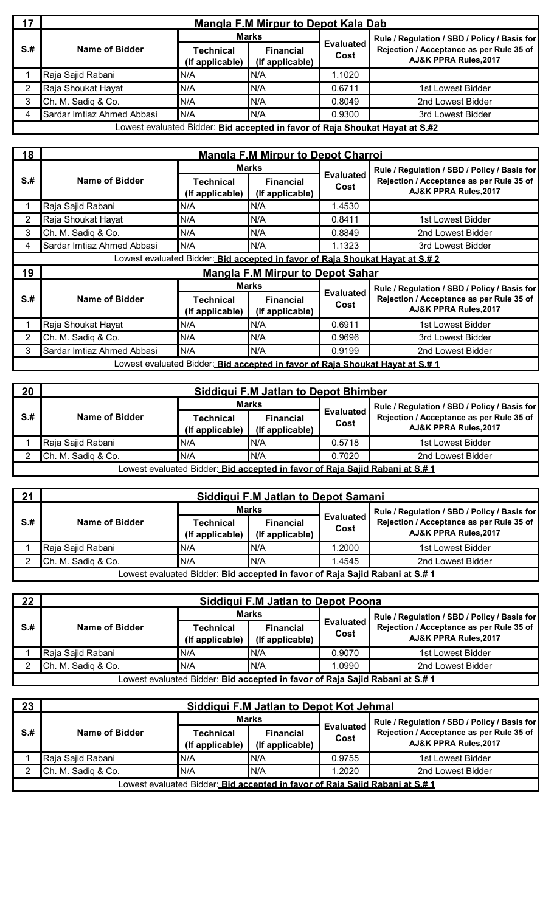| 17                                                                           | <b>Mangla F.M Mirpur to Depot Kala Dab</b> |                              |                                     |                          |                                                                   |  |  |  |
|------------------------------------------------------------------------------|--------------------------------------------|------------------------------|-------------------------------------|--------------------------|-------------------------------------------------------------------|--|--|--|
|                                                                              |                                            |                              | <b>Marks</b>                        | <b>Evaluated</b><br>Cost | Rule / Regulation / SBD / Policy / Basis for                      |  |  |  |
| $S+$                                                                         | Name of Bidder                             | Technical<br>(If applicable) | <b>Financial</b><br>(If applicable) |                          | Rejection / Acceptance as per Rule 35 of<br>AJ&K PPRA Rules, 2017 |  |  |  |
|                                                                              | Raja Sajid Rabani                          | N/A                          | IN/A                                | .1020                    |                                                                   |  |  |  |
| າ                                                                            | Raja Shoukat Hayat                         | N/A                          | IN/A                                | 0.6711                   | 1st Lowest Bidder                                                 |  |  |  |
|                                                                              | Ch. M. Sadiq & Co.                         | N/A                          | N/A                                 | 0.8049                   | 2nd Lowest Bidder                                                 |  |  |  |
| 4                                                                            | Sardar Imtiaz Ahmed Abbasi                 | N/A                          | N/A                                 | 0.9300                   | 3rd Lowest Bidder                                                 |  |  |  |
| Lowest evaluated Bidder: Bid accepted in favor of Raja Shoukat Hayat at S.#2 |                                            |                              |                                     |                          |                                                                   |  |  |  |

| 18   | <b>Mangla F.M Mirpur to Depot Charroi</b> |                                                                               |                                         |                          |                                                                               |  |  |  |  |
|------|-------------------------------------------|-------------------------------------------------------------------------------|-----------------------------------------|--------------------------|-------------------------------------------------------------------------------|--|--|--|--|
|      |                                           |                                                                               | <b>Marks</b>                            |                          | Rule / Regulation / SBD / Policy / Basis for                                  |  |  |  |  |
| $S+$ | Name of Bidder                            | <b>Technical</b><br>(If applicable)                                           | <b>Financial</b><br>(If applicable)     | <b>Evaluated</b><br>Cost | Rejection / Acceptance as per Rule 35 of<br>AJ&K PPRA Rules, 2017             |  |  |  |  |
|      | Raja Sajid Rabani                         | N/A                                                                           | N/A                                     | 1.4530                   |                                                                               |  |  |  |  |
| 2    | Raja Shoukat Hayat                        | N/A                                                                           | N/A                                     | 0.8411                   | 1st Lowest Bidder                                                             |  |  |  |  |
| 3    | Ch. M. Sadiq & Co.                        | N/A                                                                           | N/A                                     | 0.8849                   | 2nd Lowest Bidder                                                             |  |  |  |  |
| 4    | Sardar Imtiaz Ahmed Abbasi                | N/A                                                                           | N/A                                     | 1.1323                   | 3rd Lowest Bidder                                                             |  |  |  |  |
|      |                                           |                                                                               |                                         |                          | Lowest evaluated Bidder: Bid accepted in favor of Raja Shoukat Hayat at S.# 2 |  |  |  |  |
| 19   |                                           |                                                                               | <b>Mangla F.M Mirpur to Depot Sahar</b> |                          |                                                                               |  |  |  |  |
|      |                                           |                                                                               | <b>Marks</b>                            |                          | Rule / Regulation / SBD / Policy / Basis for                                  |  |  |  |  |
| $S+$ | Name of Bidder                            | <b>Technical</b><br>(If applicable)                                           | <b>Financial</b><br>(If applicable)     | <b>Evaluated</b><br>Cost | Rejection / Acceptance as per Rule 35 of<br>AJ&K PPRA Rules, 2017             |  |  |  |  |
|      | Raja Shoukat Hayat                        | N/A                                                                           | N/A                                     | 0.6911                   | 1st Lowest Bidder                                                             |  |  |  |  |
| 2    | Ch. M. Sadiq & Co.                        | N/A                                                                           | N/A                                     | 0.9696                   | 3rd Lowest Bidder                                                             |  |  |  |  |
| 3    | Sardar Imtiaz Ahmed Abbasi                | N/A                                                                           | N/A                                     | 0.9199                   | 2nd Lowest Bidder                                                             |  |  |  |  |
|      |                                           | Lowest evaluated Bidder: Bid accepted in favor of Raja Shoukat Hayat at S.# 1 |                                         |                          |                                                                               |  |  |  |  |

| 20   | Siddiqui F.M Jatlan to Depot Bhimber |                                                                                     |                                     |                          |                                                                   |  |  |
|------|--------------------------------------|-------------------------------------------------------------------------------------|-------------------------------------|--------------------------|-------------------------------------------------------------------|--|--|
|      |                                      | <b>Marks</b>                                                                        |                                     |                          | Rule / Regulation / SBD / Policy / Basis for                      |  |  |
| $S+$ | Name of Bidder                       | <b>Technical</b><br>(If applicable)                                                 | <b>Financial</b><br>(If applicable) | <b>Evaluated</b><br>Cost | Rejection / Acceptance as per Rule 35 of<br>AJ&K PPRA Rules, 2017 |  |  |
|      | Raja Sajid Rabani                    | N/A                                                                                 | IN/A                                | 0.5718                   | 1st Lowest Bidder                                                 |  |  |
|      | Ch. M. Sadiq & Co.                   | N/A                                                                                 | IN/A                                | 0.7020                   | 2nd Lowest Bidder                                                 |  |  |
|      |                                      | Lowest evaluated Bidder: <i>Bid accepted in favor of Raia Saiid Rabani at S.# 1</i> |                                     |                          |                                                                   |  |  |

| 21                                                                           | <b>Siddiqui F.M Jatlan to Depot Samani</b> |                              |                                     |                  |                                                                                                                   |  |  |  |
|------------------------------------------------------------------------------|--------------------------------------------|------------------------------|-------------------------------------|------------------|-------------------------------------------------------------------------------------------------------------------|--|--|--|
|                                                                              |                                            | <b>Marks</b>                 |                                     | <b>Evaluated</b> | Rule / Regulation / SBD / Policy / Basis for<br>Rejection / Acceptance as per Rule 35 of<br>AJ&K PPRA Rules, 2017 |  |  |  |
| S#                                                                           | Name of Bidder                             | Technical<br>(If applicable) | <b>Financial</b><br>(If applicable) |                  |                                                                                                                   |  |  |  |
|                                                                              | Raja Sajid Rabani                          | N/A                          | N/A                                 | .2000            | 1st Lowest Bidder                                                                                                 |  |  |  |
|                                                                              | Ch. M. Sadiq & Co.                         | IN/A                         | N/A                                 | 1.4545           | 2nd Lowest Bidder                                                                                                 |  |  |  |
| Lowest evaluated Bidder: Bid accepted in favor of Raia Saiid Rabani at S.# 1 |                                            |                              |                                     |                  |                                                                                                                   |  |  |  |

| $22 \,$                                                                      | Siddigui F.M Jatlan to Depot Poona |                                     |                                     |                          |                                                                   |  |  |  |
|------------------------------------------------------------------------------|------------------------------------|-------------------------------------|-------------------------------------|--------------------------|-------------------------------------------------------------------|--|--|--|
|                                                                              |                                    |                                     | <b>Marks</b>                        |                          | Rule / Regulation / SBD / Policy / Basis for                      |  |  |  |
| S.H                                                                          | Name of Bidder                     | <b>Technical</b><br>(If applicable) | <b>Financial</b><br>(If applicable) | <b>Evaluated</b><br>Cost | Rejection / Acceptance as per Rule 35 of<br>AJ&K PPRA Rules, 2017 |  |  |  |
|                                                                              | Raja Sajid Rabani                  | N/A                                 | N/A                                 | 0.9070                   | 1st Lowest Bidder                                                 |  |  |  |
|                                                                              | Ch. M. Sadiq & Co.<br>N/A<br>IN/A  |                                     |                                     |                          | 2nd Lowest Bidder                                                 |  |  |  |
| Lowest evaluated Bidder: Bid accepted in favor of Raja Sajid Rabani at S.# 1 |                                    |                                     |                                     |                          |                                                                   |  |  |  |

| 23   | Siddiqui F.M Jatlan to Depot Kot Jehmal |                                     |                                                                              |                          |                                                                             |  |  |  |
|------|-----------------------------------------|-------------------------------------|------------------------------------------------------------------------------|--------------------------|-----------------------------------------------------------------------------|--|--|--|
|      |                                         | <b>Marks</b>                        |                                                                              |                          | Rule / Regulation / SBD / Policy / Basis for                                |  |  |  |
| $S+$ | Name of Bidder                          | <b>Technical</b><br>(If applicable) | <b>Financial</b><br>(If applicable)                                          | <b>Evaluated</b><br>Cost | Rejection / Acceptance as per Rule 35 of<br><b>AJ&amp;K PPRA Rules.2017</b> |  |  |  |
|      | Raja Sajid Rabani                       | N/A                                 | IN/A                                                                         | 0.9755                   | 1st Lowest Bidder                                                           |  |  |  |
|      | Ch. M. Sadiq & Co.                      | N/A                                 | N/A                                                                          | 1.2020                   | 2nd Lowest Bidder                                                           |  |  |  |
|      |                                         |                                     | Lowest evaluated Bidder: Bid accepted in favor of Raja Sajid Rabani at S.# 1 |                          |                                                                             |  |  |  |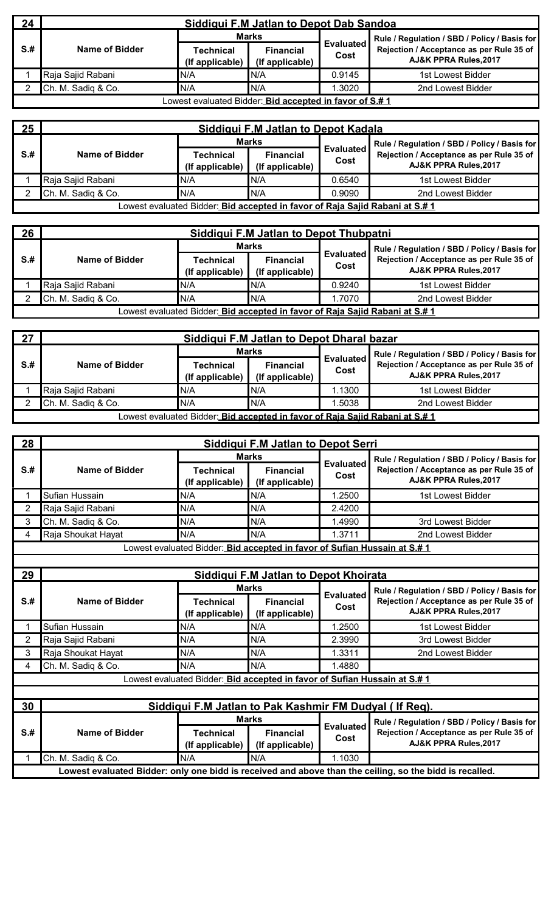| 24   | Siddigui F.M Jatlan to Depot Dab Sandoa                 |                              |                                     |                          |                                                                   |  |  |  |
|------|---------------------------------------------------------|------------------------------|-------------------------------------|--------------------------|-------------------------------------------------------------------|--|--|--|
|      |                                                         | <b>Marks</b>                 |                                     |                          | Rule / Regulation / SBD / Policy / Basis for                      |  |  |  |
| $S+$ | Name of Bidder                                          | Technical<br>(If applicable) | <b>Financial</b><br>(If applicable) | <b>Evaluated</b><br>Cost | Rejection / Acceptance as per Rule 35 of<br>AJ&K PPRA Rules, 2017 |  |  |  |
|      | Raja Sajid Rabani                                       | N/A                          | IN/A                                | 0.9145                   | 1st Lowest Bidder                                                 |  |  |  |
|      | Ch. M. Sadiq & Co.                                      | N/A                          | N/A                                 | .3020                    | 2nd Lowest Bidder                                                 |  |  |  |
|      | Lowest evaluated Bidder: Bid accepted in favor of S.# 1 |                              |                                     |                          |                                                                   |  |  |  |

| 25<br>Siddigui F.M Jatlan to Depot Kadala |                    |                                                                              |                                     |                          |                                                                   |  |
|-------------------------------------------|--------------------|------------------------------------------------------------------------------|-------------------------------------|--------------------------|-------------------------------------------------------------------|--|
|                                           |                    | <b>Marks</b>                                                                 |                                     |                          | Rule / Regulation / SBD / Policy / Basis for                      |  |
| $S+$                                      | Name of Bidder     | Technical<br>(If applicable)                                                 | <b>Financial</b><br>(If applicable) | <b>Evaluated</b><br>Cost | Rejection / Acceptance as per Rule 35 of<br>AJ&K PPRA Rules, 2017 |  |
|                                           | Raja Sajid Rabani  | N/A                                                                          | N/A                                 | 0.6540                   | 1st Lowest Bidder                                                 |  |
|                                           | Ch. M. Sadiq & Co. | N/A                                                                          | IN/A                                | 0.9090                   | 2nd Lowest Bidder                                                 |  |
|                                           |                    | Lowest evaluated Bidder: Bid accepted in favor of Raja Sajid Rabani at S.# 1 |                                     |                          |                                                                   |  |

| 26   | Siddigui F.M Jatlan to Depot Thubpatni                                                      |                                     |                                     |                          |                                                                   |  |  |  |
|------|---------------------------------------------------------------------------------------------|-------------------------------------|-------------------------------------|--------------------------|-------------------------------------------------------------------|--|--|--|
|      |                                                                                             | <b>Marks</b>                        |                                     |                          | Rule / Regulation / SBD / Policy / Basis for                      |  |  |  |
| $S+$ | Name of Bidder                                                                              | <b>Technical</b><br>(If applicable) | <b>Financial</b><br>(If applicable) | <b>Evaluated</b><br>Cost | Rejection / Acceptance as per Rule 35 of<br>AJ&K PPRA Rules, 2017 |  |  |  |
|      | Raja Sajid Rabani                                                                           | N/A                                 | IN/A                                | 0.9240                   | 1st Lowest Bidder                                                 |  |  |  |
|      | Ch. M. Sadiq & Co.                                                                          | N/A                                 | IN/A                                | 1.7070                   | 2nd Lowest Bidder                                                 |  |  |  |
|      | Lowest evaluated Bidder: <u>_Bi<b>d accepted in favor of Raia Saiid Rabani at S.# 1</b></u> |                                     |                                     |                          |                                                                   |  |  |  |

| 27<br>Siddiqui F.M Jatlan to Depot Dharal bazar |                    |                              |                                                                                     |                          |                                                                             |  |
|-------------------------------------------------|--------------------|------------------------------|-------------------------------------------------------------------------------------|--------------------------|-----------------------------------------------------------------------------|--|
|                                                 |                    | <b>Marks</b>                 |                                                                                     |                          | Rule / Regulation / SBD / Policy / Basis for                                |  |
| S.#                                             | Name of Bidder     | Technical<br>(If applicable) | <b>Financial</b><br>(If applicable)                                                 | <b>Evaluated</b><br>Cost | Rejection / Acceptance as per Rule 35 of<br><b>AJ&amp;K PPRA Rules.2017</b> |  |
|                                                 | Raja Sajid Rabani  | N/A                          | IN/A                                                                                | 1.1300                   | 1st Lowest Bidder                                                           |  |
|                                                 | Ch. M. Sadiq & Co. | N/A                          | N/A                                                                                 | .5038                    | 2nd Lowest Bidder                                                           |  |
|                                                 |                    |                              | Lowest evaluated Bidder: <i>Bid accepted in favor of Raja Sajid Rabani at S.# 1</i> |                          |                                                                             |  |

| 28  |                    |                                                                           | Siddigui F.M Jatlan to Depot Serri  |                          |                                                                   |
|-----|--------------------|---------------------------------------------------------------------------|-------------------------------------|--------------------------|-------------------------------------------------------------------|
|     |                    |                                                                           | <b>Marks</b>                        |                          | Rule / Regulation / SBD / Policy / Basis for                      |
| S.# | Name of Bidder     | Technical<br>(If applicable)                                              | <b>Financial</b><br>(If applicable) | <b>Evaluated</b><br>Cost | Rejection / Acceptance as per Rule 35 of<br>AJ&K PPRA Rules, 2017 |
|     | Sufian Hussain     | N/A                                                                       | N/A                                 | .2500                    | 1st Lowest Bidder                                                 |
|     | Raja Sajid Rabani  | N/A                                                                       | N/A                                 | 2.4200                   |                                                                   |
|     | Ch. M. Sadiq & Co. | N/A                                                                       | N/A                                 | 1.4990                   | 3rd Lowest Bidder                                                 |
|     | Raja Shoukat Hayat | N/A                                                                       | N/A                                 | 1.3711                   | 2nd Lowest Bidder                                                 |
|     |                    | Lowest evaluated Bidder: Bid accepted in favor of Sufian Hussain at S.# 1 |                                     |                          |                                                                   |

| 29              |                    |                                                                           | Siddiqui F.M Jatlan to Depot Khoirata |                          |                                                                                                         |
|-----------------|--------------------|---------------------------------------------------------------------------|---------------------------------------|--------------------------|---------------------------------------------------------------------------------------------------------|
|                 | Name of Bidder     | Marks                                                                     |                                       |                          | Rule / Regulation / SBD / Policy / Basis for                                                            |
| $S+$            |                    | <b>Technical</b><br>(If applicable)                                       | <b>Financial</b><br>(If applicable)   | <b>Evaluated</b><br>Cost | Rejection / Acceptance as per Rule 35 of<br>AJ&K PPRA Rules, 2017                                       |
|                 | Sufian Hussain     | N/A                                                                       | N/A                                   | .2500                    | 1st Lowest Bidder                                                                                       |
| 2               | Raja Sajid Rabani  | N/A                                                                       | N/A                                   | 2.3990                   | 3rd Lowest Bidder                                                                                       |
| 3               | Raja Shoukat Hayat | N/A                                                                       | N/A                                   | 1.3311                   | 2nd Lowest Bidder                                                                                       |
| 4               | Ch. M. Sadiq & Co. | N/A                                                                       | N/A                                   | 1.4880                   |                                                                                                         |
|                 |                    | Lowest evaluated Bidder: Bid accepted in favor of Sufian Hussain at S.# 1 |                                       |                          |                                                                                                         |
| 30 <sub>2</sub> |                    | Siddigui F.M Jatlan to Pak Kashmir FM Dudyal (If Reg).                    |                                       |                          |                                                                                                         |
|                 |                    | Marks                                                                     |                                       |                          | Rule / Regulation / SBD / Policy / Basis for                                                            |
| $S+$            | Name of Bidder     | Technical<br>(If applicable)                                              | <b>Financial</b><br>(If applicable)   | <b>Evaluated</b><br>Cost | Rejection / Acceptance as per Rule 35 of<br>AJ&K PPRA Rules, 2017                                       |
|                 | Ch. M. Sadiq & Co. | N/A                                                                       | N/A                                   | 1.1030                   |                                                                                                         |
|                 |                    |                                                                           |                                       |                          | Lowest evaluated Bidder: only one bidd is received and above than the ceiling, so the bidd is recalled. |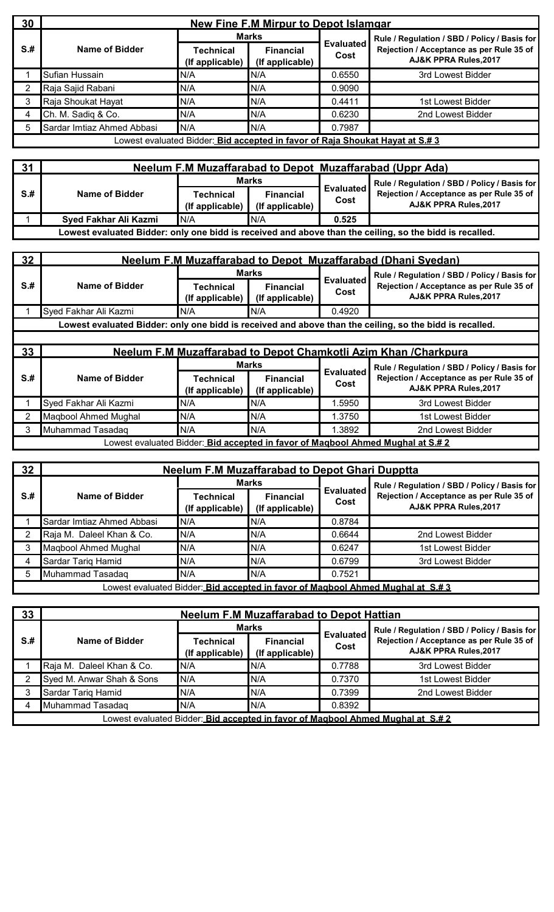| 30   |                            |                                                                                      | <b>New Fine F.M Mirpur to Depot Islamgar</b> |                          |                                                                   |
|------|----------------------------|--------------------------------------------------------------------------------------|----------------------------------------------|--------------------------|-------------------------------------------------------------------|
|      |                            | <b>Marks</b>                                                                         |                                              |                          | Rule / Regulation / SBD / Policy / Basis for                      |
| $S+$ | Name of Bidder             | Technical<br>(If applicable)                                                         | <b>Financial</b><br>(If applicable)          | <b>Evaluated</b><br>Cost | Rejection / Acceptance as per Rule 35 of<br>AJ&K PPRA Rules, 2017 |
|      | Sufian Hussain             | N/A                                                                                  | N/A                                          | 0.6550                   | 3rd Lowest Bidder                                                 |
|      | Raja Sajid Rabani          | N/A                                                                                  | N/A                                          | 0.9090                   |                                                                   |
|      | Raja Shoukat Hayat         | N/A                                                                                  | N/A                                          | 0.4411                   | 1st Lowest Bidder                                                 |
| 4    | Ch. M. Sadiq & Co.         | N/A                                                                                  | N/A                                          | 0.6230                   | 2nd Lowest Bidder                                                 |
| 5    | Sardar Imtiaz Ahmed Abbasi | N/A                                                                                  | N/A                                          | 0.7987                   |                                                                   |
|      |                            | Lowest evaluated Bidder: <i>Bid accepted in favor of Raia Shoukat Hayat at S.# 3</i> |                                              |                          |                                                                   |

| 31  | Neelum F.M Muzaffarabad to Depot Muzaffarabad (Uppr Ada) |                              |                                     |                          |                                                                                                         |  |
|-----|----------------------------------------------------------|------------------------------|-------------------------------------|--------------------------|---------------------------------------------------------------------------------------------------------|--|
|     |                                                          | <b>Marks</b>                 |                                     |                          | Rule / Regulation / SBD / Policy / Basis for                                                            |  |
| S.H | Name of Bidder                                           | Technical<br>(If applicable) | <b>Financial</b><br>(If applicable) | <b>Evaluated</b><br>Cost | Rejection / Acceptance as per Rule 35 of<br>AJ&K PPRA Rules, 2017                                       |  |
|     | Syed Fakhar Ali Kazmi                                    | IN/A                         | IN/A                                | 0.525                    |                                                                                                         |  |
|     |                                                          |                              |                                     |                          | Lowest evaluated Bidder: only one bidd is received and above than the ceiling, so the bidd is recalled. |  |

| 32   |                       |                              |                                     |                          | <b>Neelum F.M Muzaffarabad to Depot Muzaffarabad (Dhani Syedan)</b>                                               |
|------|-----------------------|------------------------------|-------------------------------------|--------------------------|-------------------------------------------------------------------------------------------------------------------|
|      |                       | <b>Marks</b>                 |                                     |                          | Rule / Regulation / SBD / Policy / Basis for                                                                      |
| $S+$ | Name of Bidder        | Technical<br>(If applicable) | <b>Financial</b><br>(If applicable) | <b>Evaluated</b><br>Cost | Rejection / Acceptance as per Rule 35 of<br>AJ&K PPRA Rules, 2017                                                 |
|      | Syed Fakhar Ali Kazmi | N/A                          | N/A                                 | 0.4920                   |                                                                                                                   |
|      |                       |                              |                                     |                          | Lowest evaluated Bidder: only one bidd is received and above than the ceiling, so the bidd is recalled.           |
|      |                       |                              |                                     |                          |                                                                                                                   |
| 33   |                       |                              |                                     |                          | Neelum F.M Muzaffarabad to Depot Chamkotli Azim Khan /Charkpura                                                   |
|      |                       |                              |                                     |                          |                                                                                                                   |
|      |                       |                              | <b>Marks</b>                        |                          |                                                                                                                   |
| $S+$ | Name of Bidder        | Technical<br>(If applicable) | <b>Financial</b><br>(If applicable) | <b>Evaluated</b><br>Cost | Rule / Regulation / SBD / Policy / Basis for<br>Rejection / Acceptance as per Rule 35 of<br>AJ&K PPRA Rules, 2017 |
|      | Syed Fakhar Ali Kazmi | N/A                          | N/A                                 | 1.5950                   | 3rd Lowest Bidder                                                                                                 |
|      | Maqbool Ahmed Mughal  | N/A                          | N/A                                 | 1.3750                   | 1st Lowest Bidder                                                                                                 |
| 3    | Muhammad Tasadaq      | N/A                          | N/A                                 | 1.3892                   | 2nd Lowest Bidder                                                                                                 |

| 32 <sub>2</sub> | <b>Neelum F.M Muzaffarabad to Depot Ghari Dupptta</b> |                              |                                     |                          |                                                                                |  |  |
|-----------------|-------------------------------------------------------|------------------------------|-------------------------------------|--------------------------|--------------------------------------------------------------------------------|--|--|
|                 |                                                       | <b>Marks</b>                 |                                     |                          | Rule / Regulation / SBD / Policy / Basis for                                   |  |  |
| $S+$            | Name of Bidder                                        | Technical<br>(If applicable) | <b>Financial</b><br>(If applicable) | <b>Evaluated</b><br>Cost | Rejection / Acceptance as per Rule 35 of<br>AJ&K PPRA Rules, 2017              |  |  |
|                 | Sardar Imtiaz Ahmed Abbasi                            | N/A                          | IN/A                                | 0.8784                   |                                                                                |  |  |
|                 | Raja M. Daleel Khan & Co.                             | N/A                          | N/A                                 | 0.6644                   | 2nd Lowest Bidder                                                              |  |  |
|                 | <b>Magbool Ahmed Mughal</b>                           | N/A                          | N/A                                 | 0.6247                   | 1st Lowest Bidder                                                              |  |  |
| 4               | Sardar Tariq Hamid                                    | N/A                          | IN/A                                | 0.6799                   | 3rd Lowest Bidder                                                              |  |  |
| 5               | Muhammad Tasadag                                      | N/A                          | N/A                                 | 0.7521                   |                                                                                |  |  |
|                 |                                                       |                              |                                     |                          | Lowest evaluated Bidder: Bid accepted in favor of Magbool Ahmed Mughal at S.#3 |  |  |

| 33   | <b>Neelum F.M Muzaffarabad to Depot Hattian</b> |                              |                                     |                          |                                                                                |  |  |
|------|-------------------------------------------------|------------------------------|-------------------------------------|--------------------------|--------------------------------------------------------------------------------|--|--|
|      |                                                 | <b>Marks</b>                 |                                     |                          | Rule / Regulation / SBD / Policy / Basis for                                   |  |  |
| $S+$ | Name of Bidder                                  | Technical<br>(If applicable) | <b>Financial</b><br>(If applicable) | <b>Evaluated</b><br>Cost | Rejection / Acceptance as per Rule 35 of<br>AJ&K PPRA Rules, 2017              |  |  |
|      | Raja M. Daleel Khan & Co.                       | N/A                          | IN/A                                | 0.7788                   | 3rd Lowest Bidder                                                              |  |  |
|      | Syed M. Anwar Shah & Sons                       | N/A                          | N/A                                 | 0.7370                   | 1st Lowest Bidder                                                              |  |  |
|      | Sardar Tariq Hamid                              | N/A                          | N/A                                 | 0.7399                   | 2nd Lowest Bidder                                                              |  |  |
|      | Muhammad Tasadaq                                | N/A                          | N/A                                 | 0.8392                   |                                                                                |  |  |
|      |                                                 |                              |                                     |                          | Lowest evaluated Bidder: Bid accepted in favor of Magbool Ahmed Mughal at S.#2 |  |  |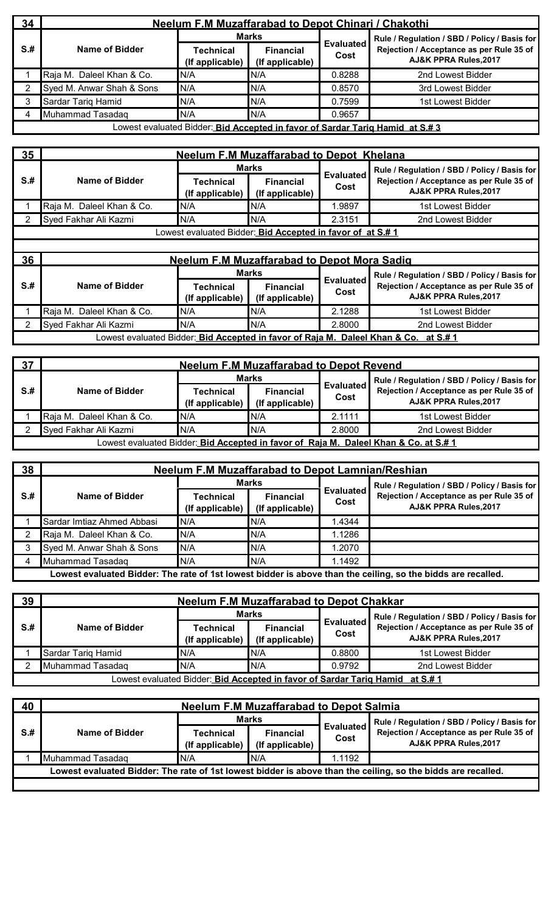| 34   | <b>Neelum F.M Muzaffarabad to Depot Chinari / Chakothi</b> |                              |                                     |                          |                                                                               |  |  |  |
|------|------------------------------------------------------------|------------------------------|-------------------------------------|--------------------------|-------------------------------------------------------------------------------|--|--|--|
|      |                                                            | <b>Marks</b>                 |                                     |                          | Rule / Regulation / SBD / Policy / Basis for                                  |  |  |  |
| $S+$ | Name of Bidder                                             | Technical<br>(If applicable) | <b>Financial</b><br>(If applicable) | <b>Evaluated</b><br>Cost | Rejection / Acceptance as per Rule 35 of<br>AJ&K PPRA Rules, 2017             |  |  |  |
|      | Raja M. Daleel Khan & Co.                                  | N/A                          | N/A                                 | 0.8288                   | 2nd Lowest Bidder                                                             |  |  |  |
|      | Syed M. Anwar Shah & Sons                                  | N/A                          | IN/A                                | 0.8570                   | 3rd Lowest Bidder                                                             |  |  |  |
|      | <b>Sardar Tariq Hamid</b>                                  | N/A                          | N/A                                 | 0.7599                   | 1st Lowest Bidder                                                             |  |  |  |
| 4    | Muhammad Tasadag                                           | N/A                          | IN/A                                | 0.9657                   |                                                                               |  |  |  |
|      |                                                            |                              |                                     |                          | Lowest evaluated Bidder: Bid Accepted in favor of Sardar Tarig Hamid at S.# 3 |  |  |  |

| 35   | <b>Neelum F.M Muzaffarabad to Depot Khelana</b> |                                                                   |                                     |                          |                                                                   |  |  |  |
|------|-------------------------------------------------|-------------------------------------------------------------------|-------------------------------------|--------------------------|-------------------------------------------------------------------|--|--|--|
|      |                                                 |                                                                   | <b>Marks</b>                        |                          | Rule / Regulation / SBD / Policy / Basis for                      |  |  |  |
| $S+$ | Name of Bidder                                  | Technical<br>(If applicable)                                      | <b>Financial</b><br>(If applicable) | <b>Evaluated</b><br>Cost | Rejection / Acceptance as per Rule 35 of<br>AJ&K PPRA Rules, 2017 |  |  |  |
|      | Raja M. Daleel Khan & Co.                       | N/A                                                               | N/A                                 | .9897                    | 1st Lowest Bidder                                                 |  |  |  |
|      | Syed Fakhar Ali Kazmi                           | N/A                                                               | N/A                                 | 2.3151                   | 2nd Lowest Bidder                                                 |  |  |  |
|      |                                                 | Lowest evaluated Bidder: <b>Bid Accepted in favor of at S.# 1</b> |                                     |                          |                                                                   |  |  |  |

| 36  | <b>Neelum F.M Muzaffarabad to Depot Mora Sadig</b> |                              |                                     |                          |                                                                                     |  |  |
|-----|----------------------------------------------------|------------------------------|-------------------------------------|--------------------------|-------------------------------------------------------------------------------------|--|--|
|     |                                                    |                              | <b>Marks</b>                        |                          | Rule / Regulation / SBD / Policy / Basis for                                        |  |  |
| S.# | Name of Bidder                                     | Technical<br>(If applicable) | <b>Financial</b><br>(If applicable) | <b>Evaluated</b><br>Cost | Rejection / Acceptance as per Rule 35 of<br>AJ&K PPRA Rules, 2017                   |  |  |
|     | Raja M. Daleel Khan & Co.                          | IN/A                         | N/A                                 | 2.1288                   | 1st Lowest Bidder                                                                   |  |  |
|     | Syed Fakhar Ali Kazmi                              | N/A                          | N/A                                 | 2.8000                   | 2nd Lowest Bidder                                                                   |  |  |
|     |                                                    |                              |                                     |                          | Lowest evaluated Bidder: Bid Accepted in favor of Raja M. Daleel Khan & Co. at S.#1 |  |  |

| 37   | <b>Neelum F.M Muzaffarabad to Depot Revend</b> |                                     |                                     |                          |                                                                                      |  |  |
|------|------------------------------------------------|-------------------------------------|-------------------------------------|--------------------------|--------------------------------------------------------------------------------------|--|--|
|      |                                                | <b>Marks</b>                        |                                     |                          | Rule / Regulation / SBD / Policy / Basis for                                         |  |  |
| $S+$ | Name of Bidder                                 | <b>Technical</b><br>(If applicable) | <b>Financial</b><br>(If applicable) | <b>Evaluated</b><br>Cost | Rejection / Acceptance as per Rule 35 of<br>AJ&K PPRA Rules, 2017                    |  |  |
|      | Raja M. Daleel Khan & Co.                      | IN/A                                | IN/A                                | 2.1111                   | 1st Lowest Bidder                                                                    |  |  |
|      | Syed Fakhar Ali Kazmi                          | N/A                                 | IN/A                                | 2.8000                   | 2nd Lowest Bidder                                                                    |  |  |
|      |                                                |                                     |                                     |                          | Lowest evaluated Bidder: Bid Accepted in favor of Raia M. Daleel Khan & Co. at S.# 1 |  |  |

| 38                                                                                                           | <b>Neelum F.M Muzaffarabad to Depot Lamnian/Reshian</b> |                              |                                     |                          |                                                                   |  |  |  |
|--------------------------------------------------------------------------------------------------------------|---------------------------------------------------------|------------------------------|-------------------------------------|--------------------------|-------------------------------------------------------------------|--|--|--|
|                                                                                                              |                                                         | Marks                        |                                     |                          | Rule / Regulation / SBD / Policy / Basis for                      |  |  |  |
| $S+$                                                                                                         | Name of Bidder                                          | Technical<br>(If applicable) | <b>Financial</b><br>(If applicable) | <b>Evaluated</b><br>Cost | Rejection / Acceptance as per Rule 35 of<br>AJ&K PPRA Rules, 2017 |  |  |  |
|                                                                                                              | Sardar Imtiaz Ahmed Abbasi                              | N/A                          | IN/A                                | l.4344                   |                                                                   |  |  |  |
|                                                                                                              | Raja M. Daleel Khan & Co.                               | N/A                          | N/A                                 | 1.1286                   |                                                                   |  |  |  |
|                                                                                                              | Syed M. Anwar Shah & Sons                               | N/A                          | N/A                                 | 1.2070                   |                                                                   |  |  |  |
|                                                                                                              | Muhammad Tasadag                                        | N/A                          | N/A                                 | 1.1492                   |                                                                   |  |  |  |
| Lowest evaluated Bidder: The rate of 1st lowest bidder is above than the ceiling, so the bidds are recalled. |                                                         |                              |                                     |                          |                                                                   |  |  |  |

| $\overline{39}$ | <b>Neelum F.M Muzaffarabad to Depot Chakkar</b> |                              |                                     |                          |                                                                               |  |  |
|-----------------|-------------------------------------------------|------------------------------|-------------------------------------|--------------------------|-------------------------------------------------------------------------------|--|--|
|                 |                                                 | <b>Marks</b>                 |                                     |                          | Rule / Regulation / SBD / Policy / Basis for                                  |  |  |
| $S+$            | Name of Bidder                                  | Technical<br>(If applicable) | <b>Financial</b><br>(If applicable) | <b>Evaluated</b><br>Cost | Rejection / Acceptance as per Rule 35 of<br><b>AJ&amp;K PPRA Rules.2017</b>   |  |  |
|                 | Sardar Tarig Hamid                              | N/A                          | N/A                                 | 0.8800                   | 1st Lowest Bidder                                                             |  |  |
|                 | Muhammad Tasadag                                | N/A                          | IN/A                                | 0.9792                   | 2nd Lowest Bidder                                                             |  |  |
|                 |                                                 |                              |                                     |                          | Lowest evaluated Bidder: Bid Accepted in favor of Sardar Taria Hamid at S.# 1 |  |  |

| 40   | <b>Neelum F.M Muzaffarabad to Depot Salmia</b> |                                     |                                             |        |                                                                                                              |  |  |  |
|------|------------------------------------------------|-------------------------------------|---------------------------------------------|--------|--------------------------------------------------------------------------------------------------------------|--|--|--|
|      |                                                | <b>Marks</b>                        |                                             |        | Rule / Regulation / SBD / Policy / Basis for                                                                 |  |  |  |
| $S+$ | Name of Bidder                                 | <b>Technical</b><br>(If applicable) | <b>Financial</b><br>Cost<br>(If applicable) |        | <b>Evaluated</b><br>Rejection / Acceptance as per Rule 35 of<br>AJ&K PPRA Rules, 2017                        |  |  |  |
|      | Muhammad Tasadag                               | N/A                                 | IN/A                                        | 1.1192 |                                                                                                              |  |  |  |
|      |                                                |                                     |                                             |        | Lowest evaluated Bidder: The rate of 1st lowest bidder is above than the ceiling, so the bidds are recalled. |  |  |  |
|      |                                                |                                     |                                             |        |                                                                                                              |  |  |  |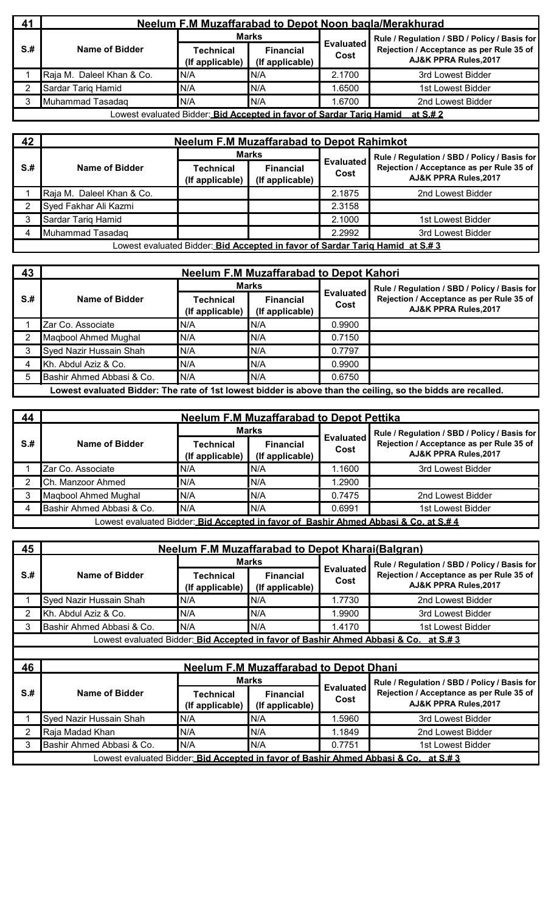| 41   | <b>Neelum F.M Muzaffarabad to Depot Noon bagla/Merakhurad</b> |                                                                      |                                     |                          |                                                                   |  |  |  |
|------|---------------------------------------------------------------|----------------------------------------------------------------------|-------------------------------------|--------------------------|-------------------------------------------------------------------|--|--|--|
|      |                                                               | Marks                                                                |                                     |                          | Rule / Regulation / SBD / Policy / Basis for                      |  |  |  |
| $S+$ | Name of Bidder                                                | Technical<br>(If applicable)                                         | <b>Financial</b><br>(If applicable) | <b>Evaluated</b><br>Cost | Rejection / Acceptance as per Rule 35 of<br>AJ&K PPRA Rules, 2017 |  |  |  |
|      | Raja M. Daleel Khan & Co.                                     | N/A                                                                  | N/A                                 | 2.1700                   | 3rd Lowest Bidder                                                 |  |  |  |
|      | Sardar Tariq Hamid                                            | N/A                                                                  | IN/A                                | .6500                    | 1st Lowest Bidder                                                 |  |  |  |
|      | Muhammad Tasadag                                              | N/A                                                                  | N/A                                 | .6700                    | 2nd Lowest Bidder                                                 |  |  |  |
|      |                                                               | Lowest evaluated Bidder: Bid Accepted in favor of Sardar Tarig Hamid |                                     |                          | <u>at S.# 2</u>                                                   |  |  |  |

| 42   | <b>Neelum F.M Muzaffarabad to Depot Rahimkot</b> |                              |                                     |                          |                                                                               |  |  |  |  |
|------|--------------------------------------------------|------------------------------|-------------------------------------|--------------------------|-------------------------------------------------------------------------------|--|--|--|--|
|      |                                                  | Marks                        |                                     |                          | Rule / Regulation / SBD / Policy / Basis for                                  |  |  |  |  |
| $S+$ | Name of Bidder                                   | Technical<br>(If applicable) | <b>Financial</b><br>(If applicable) | <b>Evaluated</b><br>Cost | Rejection / Acceptance as per Rule 35 of<br>AJ&K PPRA Rules, 2017             |  |  |  |  |
|      | Raja M. Daleel Khan & Co.                        |                              |                                     | 2.1875                   | 2nd Lowest Bidder                                                             |  |  |  |  |
|      | Syed Fakhar Ali Kazmi                            |                              |                                     | 2.3158                   |                                                                               |  |  |  |  |
|      | Sardar Tariq Hamid                               |                              |                                     | 2.1000                   | 1st Lowest Bidder                                                             |  |  |  |  |
|      | Muhammad Tasadag                                 |                              |                                     | 2.2992                   | 3rd Lowest Bidder                                                             |  |  |  |  |
|      |                                                  |                              |                                     |                          | Lowest evaluated Bidder: Bid Accepted in favor of Sardar Tarig Hamid at S.# 3 |  |  |  |  |

| 43   | <b>Neelum F.M Muzaffarabad to Depot Kahori</b> |                              |                                     |                          |                                                                                                              |  |  |
|------|------------------------------------------------|------------------------------|-------------------------------------|--------------------------|--------------------------------------------------------------------------------------------------------------|--|--|
|      | Name of Bidder                                 |                              | <b>Marks</b>                        |                          | Rule / Regulation / SBD / Policy / Basis for                                                                 |  |  |
| $S+$ |                                                | Technical<br>(If applicable) | <b>Financial</b><br>(If applicable) | <b>Evaluated</b><br>Cost | Rejection / Acceptance as per Rule 35 of<br>AJ&K PPRA Rules, 2017                                            |  |  |
|      | Zar Co. Associate                              | N/A                          | N/A                                 | 0.9900                   |                                                                                                              |  |  |
|      | Maqbool Ahmed Mughal                           | N/A                          | N/A                                 | 0.7150                   |                                                                                                              |  |  |
|      | Syed Nazir Hussain Shah                        | N/A                          | N/A                                 | 0.7797                   |                                                                                                              |  |  |
|      | Kh. Abdul Aziz & Co.                           | N/A                          | N/A                                 | 0.9900                   |                                                                                                              |  |  |
| 5    | Bashir Ahmed Abbasi & Co.                      | N/A                          | N/A                                 | 0.6750                   |                                                                                                              |  |  |
|      |                                                |                              |                                     |                          | Lowest evaluated Bidder: The rate of 1st lowest bidder is above than the ceiling, so the bidds are recalled. |  |  |

| 44<br><b>Neelum F.M Muzaffarabad to Depot Pettika</b> |                                                                                      |                              |                                     |                          |                                                                   |  |  |  |  |
|-------------------------------------------------------|--------------------------------------------------------------------------------------|------------------------------|-------------------------------------|--------------------------|-------------------------------------------------------------------|--|--|--|--|
|                                                       |                                                                                      | <b>Marks</b>                 |                                     |                          | Rule / Regulation / SBD / Policy / Basis for                      |  |  |  |  |
| $S+$                                                  | Name of Bidder                                                                       | Technical<br>(If applicable) | <b>Financial</b><br>(If applicable) | <b>Evaluated</b><br>Cost | Rejection / Acceptance as per Rule 35 of<br>AJ&K PPRA Rules, 2017 |  |  |  |  |
|                                                       | Zar Co. Associate                                                                    | N/A                          | IN/A                                | 1.1600                   | 3rd Lowest Bidder                                                 |  |  |  |  |
|                                                       | Ch. Manzoor Ahmed                                                                    | N/A                          | N/A                                 | 1.2900                   |                                                                   |  |  |  |  |
|                                                       | Magbool Ahmed Mughal                                                                 | N/A                          | IN/A                                | 0.7475                   | 2nd Lowest Bidder                                                 |  |  |  |  |
|                                                       | Bashir Ahmed Abbasi & Co.                                                            | N/A                          | N/A                                 | 0.6991                   | 1st Lowest Bidder                                                 |  |  |  |  |
|                                                       | Lowest evaluated Bidder: Bid Accepted in favor of Bashir Ahmed Abbasi & Co. at S.# 4 |                              |                                     |                          |                                                                   |  |  |  |  |

| 45              | <b>Neelum F.M Muzaffarabad to Depot Kharai(Balgran)</b> |                                                                                                 |                                                                   |                          |                                                                              |  |  |  |  |
|-----------------|---------------------------------------------------------|-------------------------------------------------------------------------------------------------|-------------------------------------------------------------------|--------------------------|------------------------------------------------------------------------------|--|--|--|--|
|                 |                                                         |                                                                                                 | Marks                                                             |                          | Rule / Regulation / SBD / Policy / Basis for                                 |  |  |  |  |
| S <sub>.#</sub> | Name of Bidder                                          | <b>Evaluated</b><br>Technical<br><b>Financial</b><br>Cost<br>(If applicable)<br>(If applicable) | Rejection / Acceptance as per Rule 35 of<br>AJ&K PPRA Rules, 2017 |                          |                                                                              |  |  |  |  |
|                 | Syed Nazir Hussain Shah                                 | N/A                                                                                             | N/A                                                               | 1.7730                   | 2nd Lowest Bidder                                                            |  |  |  |  |
| 2               | Kh. Abdul Aziz & Co.                                    | N/A                                                                                             | N/A                                                               | 1.9900                   | 3rd Lowest Bidder                                                            |  |  |  |  |
| 3.              | Bashir Ahmed Abbasi & Co.                               | N/A                                                                                             | N/A                                                               | 1.4170                   | 1st Lowest Bidder                                                            |  |  |  |  |
|                 |                                                         |                                                                                                 |                                                                   |                          |                                                                              |  |  |  |  |
| 46              |                                                         |                                                                                                 | <b>Neelum F.M Muzaffarabad to Depot Dhani</b>                     |                          |                                                                              |  |  |  |  |
|                 |                                                         |                                                                                                 | <b>Marks</b>                                                      |                          | Rule / Regulation / SBD / Policy / Basis for                                 |  |  |  |  |
| S <sub>.#</sub> | Name of Bidder                                          | Technical<br>(If applicable)                                                                    | <b>Financial</b><br>(If applicable)                               | <b>Evaluated</b><br>Cost | Rejection / Acceptance as per Rule 35 of<br><b>AJ&amp;K PPRA Rules, 2017</b> |  |  |  |  |
|                 | Syed Nazir Hussain Shah                                 | N/A                                                                                             | N/A                                                               | 1.5960                   | 3rd Lowest Bidder                                                            |  |  |  |  |
| 2               | Raja Madad Khan                                         | N/A                                                                                             | N/A                                                               | 1.1849                   | 2nd Lowest Bidder                                                            |  |  |  |  |
|                 | Bashir Ahmed Abbasi & Co.                               | N/A                                                                                             | N/A                                                               | 0.7751                   | 1st Lowest Bidder                                                            |  |  |  |  |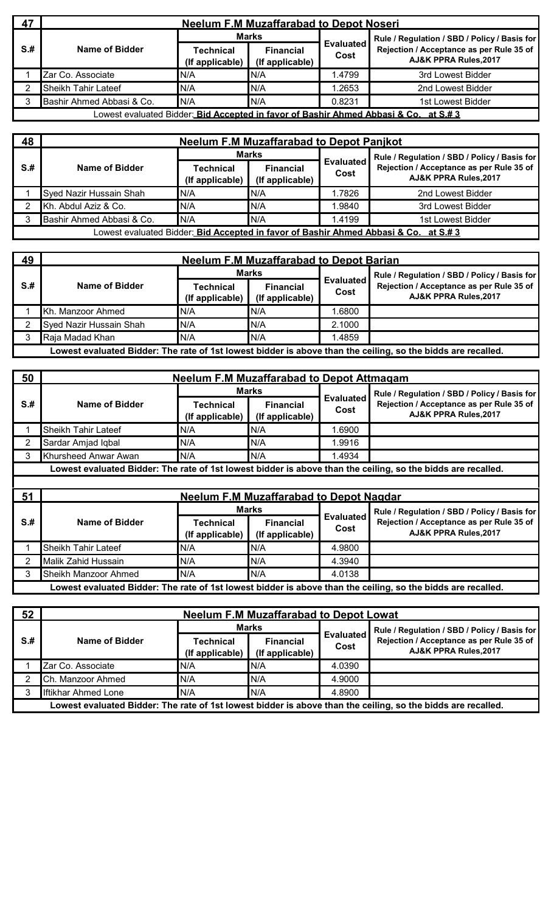| 47   | <b>Neelum F.M Muzaffarabad to Depot Noseri</b> |                                     |                                     |                          |                                                                                      |  |  |  |
|------|------------------------------------------------|-------------------------------------|-------------------------------------|--------------------------|--------------------------------------------------------------------------------------|--|--|--|
|      |                                                | <b>Marks</b>                        |                                     |                          | Rule / Regulation / SBD / Policy / Basis for                                         |  |  |  |
| $S+$ | Name of Bidder                                 | <b>Technical</b><br>(If applicable) | <b>Financial</b><br>(If applicable) | <b>Evaluated</b><br>Cost | Rejection / Acceptance as per Rule 35 of<br>AJ&K PPRA Rules, 2017                    |  |  |  |
|      | Zar Co. Associate                              | N/A                                 | IN/A                                | .4799                    | 3rd Lowest Bidder                                                                    |  |  |  |
|      | Sheikh Tahir Lateef                            | N/A                                 | IN/A                                | .2653                    | 2nd Lowest Bidder                                                                    |  |  |  |
|      | Bashir Ahmed Abbasi & Co.                      | N/A                                 | N/A                                 | 0.8231                   | 1st Lowest Bidder                                                                    |  |  |  |
|      |                                                |                                     |                                     |                          | Lowest evaluated Bidder: Bid Accepted in favor of Bashir Ahmed Abbasi & Co. at S.# 3 |  |  |  |

| 48  | <b>Neelum F.M Muzaffarabad to Depot Panikot</b> |                              |                                     |                          |                                                                                      |  |  |  |
|-----|-------------------------------------------------|------------------------------|-------------------------------------|--------------------------|--------------------------------------------------------------------------------------|--|--|--|
|     |                                                 | <b>Marks</b>                 |                                     |                          | Rule / Regulation / SBD / Policy / Basis for                                         |  |  |  |
| S.# | Name of Bidder                                  | Technical<br>(If applicable) | <b>Financial</b><br>(If applicable) | <b>Evaluated</b><br>Cost | Rejection / Acceptance as per Rule 35 of<br>AJ&K PPRA Rules, 2017                    |  |  |  |
|     | Syed Nazir Hussain Shah                         | N/A                          | IN/A                                | .7826                    | 2nd Lowest Bidder                                                                    |  |  |  |
|     | Kh. Abdul Aziz & Co.                            | N/A                          | N/A                                 | .9840                    | 3rd Lowest Bidder                                                                    |  |  |  |
|     | Bashir Ahmed Abbasi & Co.                       | N/A                          | N/A                                 | 1.4199                   | 1st Lowest Bidder                                                                    |  |  |  |
|     |                                                 |                              |                                     |                          | Lowest evaluated Bidder: Bid Accepted in favor of Bashir Ahmed Abbasi & Co. at S.# 3 |  |  |  |

| 49   | <b>Neelum F.M Muzaffarabad to Depot Barian</b> |                                     |                                     |                          |                                                                                                              |  |
|------|------------------------------------------------|-------------------------------------|-------------------------------------|--------------------------|--------------------------------------------------------------------------------------------------------------|--|
|      |                                                | Marks                               |                                     |                          | Rule / Regulation / SBD / Policy / Basis for                                                                 |  |
| $S+$ | Name of Bidder                                 | <b>Technical</b><br>(If applicable) | <b>Financial</b><br>(If applicable) | <b>Evaluated</b><br>Cost | Rejection / Acceptance as per Rule 35 of<br>AJ&K PPRA Rules, 2017                                            |  |
|      | Kh. Manzoor Ahmed                              | N/A                                 | IN/A                                | 1.6800                   |                                                                                                              |  |
|      | Syed Nazir Hussain Shah                        | N/A                                 | N/A                                 | 2.1000                   |                                                                                                              |  |
|      | Raja Madad Khan                                | N/A                                 | N/A                                 | 1.4859                   |                                                                                                              |  |
|      |                                                |                                     |                                     |                          | Lowest evaluated Bidder: The rate of 1st lowest bidder is above than the ceiling, so the bidds are recalled. |  |

| 50              | <b>Neelum F.M Muzaffarabad to Depot Attmagam</b> |                              |                                                |                          |                                                                                                              |  |  |
|-----------------|--------------------------------------------------|------------------------------|------------------------------------------------|--------------------------|--------------------------------------------------------------------------------------------------------------|--|--|
|                 |                                                  |                              | Marks                                          |                          | Rule / Regulation / SBD / Policy / Basis for                                                                 |  |  |
| $S+$            | Name of Bidder                                   | Technical<br>(If applicable) | <b>Financial</b><br>(If applicable)            | <b>Evaluated</b><br>Cost | Rejection / Acceptance as per Rule 35 of<br><b>AJ&amp;K PPRA Rules, 2017</b>                                 |  |  |
|                 | Sheikh Tahir Lateef                              | N/A                          | N/A                                            | 1.6900                   |                                                                                                              |  |  |
|                 | Sardar Amjad Iqbal                               | N/A                          | N/A                                            | 1.9916                   |                                                                                                              |  |  |
| 3               | Khursheed Anwar Awan                             | N/A                          | N/A                                            | 1.4934                   |                                                                                                              |  |  |
|                 |                                                  |                              |                                                |                          | Lowest evaluated Bidder: The rate of 1st lowest bidder is above than the ceiling, so the bidds are recalled. |  |  |
|                 |                                                  |                              |                                                |                          |                                                                                                              |  |  |
|                 |                                                  |                              |                                                |                          |                                                                                                              |  |  |
| 51              |                                                  |                              | <b>Neelum F.M Muzaffarabad to Depot Nagdar</b> |                          |                                                                                                              |  |  |
|                 |                                                  |                              | <b>Marks</b>                                   |                          | Rule / Regulation / SBD / Policy / Basis for                                                                 |  |  |
| S <sub>.#</sub> | <b>Name of Bidder</b>                            | Technical<br>(If applicable) | <b>Financial</b><br>(If applicable)            | <b>Evaluated</b><br>Cost | Rejection / Acceptance as per Rule 35 of<br>AJ&K PPRA Rules, 2017                                            |  |  |
|                 | Sheikh Tahir Lateef                              | N/A                          | N/A                                            | 4.9800                   |                                                                                                              |  |  |
| 2.              | Malik Zahid Hussain                              | N/A                          | N/A                                            | 4.3940                   |                                                                                                              |  |  |
|                 | Sheikh Manzoor Ahmed                             | N/A                          | N/A                                            | 4.0138                   |                                                                                                              |  |  |

| 52   | <b>Neelum F.M Muzaffarabad to Depot Lowat</b> |                                     |                                     |                          |                                                                                                              |  |
|------|-----------------------------------------------|-------------------------------------|-------------------------------------|--------------------------|--------------------------------------------------------------------------------------------------------------|--|
|      |                                               | <b>Marks</b>                        |                                     |                          | Rule / Regulation / SBD / Policy / Basis for                                                                 |  |
| $S+$ | Name of Bidder                                | <b>Technical</b><br>(If applicable) | <b>Financial</b><br>(If applicable) | <b>Evaluated</b><br>Cost | Rejection / Acceptance as per Rule 35 of<br>AJ&K PPRA Rules, 2017                                            |  |
|      | Zar Co. Associate                             | N/A                                 | N/A                                 | 4.0390                   |                                                                                                              |  |
|      | Ch. Manzoor Ahmed                             | N/A                                 | N/A                                 | 4.9000                   |                                                                                                              |  |
|      | <b>Iftikhar Ahmed Lone</b>                    | N/A                                 | N/A                                 | 4.8900                   |                                                                                                              |  |
|      |                                               |                                     |                                     |                          | Lowest evaluated Bidder: The rate of 1st lowest bidder is above than the ceiling, so the bidds are recalled. |  |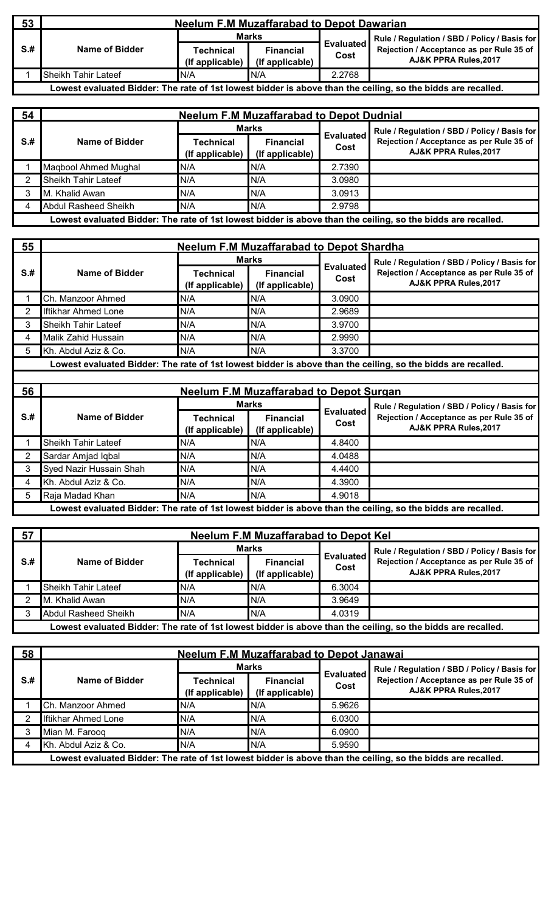| 53   | <b>Neelum F.M Muzaffarabad to Depot Dawarian</b> |                              |                                     |                          |                                                                                                              |  |
|------|--------------------------------------------------|------------------------------|-------------------------------------|--------------------------|--------------------------------------------------------------------------------------------------------------|--|
|      |                                                  | <b>Marks</b>                 |                                     |                          | Rule / Regulation / SBD / Policy / Basis for                                                                 |  |
| $S+$ | Name of Bidder                                   | Technical<br>(If applicable) | <b>Financial</b><br>(If applicable) | <b>Evaluated</b><br>Cost | Rejection / Acceptance as per Rule 35 of<br>AJ&K PPRA Rules, 2017                                            |  |
|      | <b>Sheikh Tahir Lateef</b>                       | N/A                          | IN/A                                | 2.2768                   |                                                                                                              |  |
|      |                                                  |                              |                                     |                          | Lowest evaluated Bidder: The rate of 1st lowest bidder is above than the ceiling, so the bidds are recalled. |  |

| 54   | <b>Neelum F.M Muzaffarabad to Depot Dudnial</b> |                              |                                     |                          |                                                                                                              |  |  |
|------|-------------------------------------------------|------------------------------|-------------------------------------|--------------------------|--------------------------------------------------------------------------------------------------------------|--|--|
|      |                                                 |                              | Marks                               |                          | Rule / Regulation / SBD / Policy / Basis for                                                                 |  |  |
| $S+$ | Name of Bidder                                  | Technical<br>(If applicable) | <b>Financial</b><br>(If applicable) | <b>Evaluated</b><br>Cost | Rejection / Acceptance as per Rule 35 of<br>AJ&K PPRA Rules, 2017                                            |  |  |
|      | Magbool Ahmed Mughal                            | N/A                          | N/A                                 | 2.7390                   |                                                                                                              |  |  |
|      | <b>Sheikh Tahir Lateef</b>                      | N/A                          | N/A                                 | 3.0980                   |                                                                                                              |  |  |
|      | M. Khalid Awan                                  | N/A                          | IN/A                                | 3.0913                   |                                                                                                              |  |  |
|      | <b>Abdul Rasheed Sheikh</b>                     | N/A                          | N/A                                 | 2.9798                   |                                                                                                              |  |  |
|      |                                                 |                              |                                     |                          | Lowest evaluated Bidder: The rate of 1st lowest bidder is above than the ceiling, so the bidds are recalled. |  |  |

| 55   |                            | <b>Neelum F.M Muzaffarabad to Depot Shardha</b> |                                     |                          |                                                                                                                   |  |  |  |
|------|----------------------------|-------------------------------------------------|-------------------------------------|--------------------------|-------------------------------------------------------------------------------------------------------------------|--|--|--|
|      |                            |                                                 | <b>Marks</b>                        |                          | Rule / Regulation / SBD / Policy / Basis for<br>Rejection / Acceptance as per Rule 35 of<br>AJ&K PPRA Rules, 2017 |  |  |  |
| $S+$ | Name of Bidder             | Technical<br>(If applicable)                    | <b>Financial</b><br>(If applicable) | <b>Evaluated</b><br>Cost |                                                                                                                   |  |  |  |
|      | Ch. Manzoor Ahmed          | N/A                                             | N/A                                 | 3.0900                   |                                                                                                                   |  |  |  |
|      | <b>Iftikhar Ahmed Lone</b> | N/A                                             | N/A                                 | 2.9689                   |                                                                                                                   |  |  |  |
|      | Sheikh Tahir Lateef        | N/A                                             | IN/A                                | 3.9700                   |                                                                                                                   |  |  |  |
|      | Malik Zahid Hussain        | N/A                                             | N/A                                 | 2.9990                   |                                                                                                                   |  |  |  |
| 5    | Kh. Abdul Aziz & Co.       | N/A                                             | N/A                                 | 3.3700                   |                                                                                                                   |  |  |  |
|      |                            |                                                 |                                     |                          | Lowest evaluated Bidder: The rate of 1st lowest bidder is above than the ceiling, so the bidds are recalled.      |  |  |  |
|      |                            |                                                 |                                     |                          |                                                                                                                   |  |  |  |
|      |                            |                                                 |                                     |                          |                                                                                                                   |  |  |  |

| 56   |                            |                              | <b>Neelum F.M Muzaffarabad to Depot Surgan</b> |                          |                                                                                                                   |
|------|----------------------------|------------------------------|------------------------------------------------|--------------------------|-------------------------------------------------------------------------------------------------------------------|
|      |                            |                              | Marks                                          |                          | Rule / Regulation / SBD / Policy / Basis for<br>Rejection / Acceptance as per Rule 35 of<br>AJ&K PPRA Rules, 2017 |
| $S+$ | Name of Bidder             | Technical<br>(If applicable) | <b>Financial</b><br>(If applicable)            | <b>Evaluated</b><br>Cost |                                                                                                                   |
|      | <b>Sheikh Tahir Lateef</b> | N/A                          | N/A                                            | 4.8400                   |                                                                                                                   |
| ົ    | Sardar Amjad Iqbal         | N/A                          | N/A                                            | 4.0488                   |                                                                                                                   |
| 3    | Syed Nazir Hussain Shah    | N/A                          | N/A                                            | 4.4400                   |                                                                                                                   |
|      | Kh. Abdul Aziz & Co.       | N/A                          | N/A                                            | 4.3900                   |                                                                                                                   |
| 5.   | Raja Madad Khan            | N/A                          | N/A                                            | 4.9018                   |                                                                                                                   |
|      |                            |                              |                                                |                          | Lowest evaluated Bidder: The rate of 1st lowest bidder is above than the ceiling, so the bidds are recalled.      |

| 57   | Neelum F.M Muzaffarabad to Depot Kel |                                     |                                     |                          |                                                                                                              |  |  |
|------|--------------------------------------|-------------------------------------|-------------------------------------|--------------------------|--------------------------------------------------------------------------------------------------------------|--|--|
|      |                                      | <b>Marks</b>                        |                                     |                          | Rule / Regulation / SBD / Policy / Basis for                                                                 |  |  |
| $S+$ | Name of Bidder                       | <b>Technical</b><br>(If applicable) | <b>Financial</b><br>(If applicable) | <b>Evaluated</b><br>Cost | Rejection / Acceptance as per Rule 35 of<br>AJ&K PPRA Rules, 2017                                            |  |  |
|      | <b>Sheikh Tahir Lateef</b>           | N/A                                 | IN/A                                | 6.3004                   |                                                                                                              |  |  |
|      | M. Khalid Awan                       | N/A                                 | N/A                                 | 3.9649                   |                                                                                                              |  |  |
|      | Abdul Rasheed Sheikh                 | N/A                                 | N/A                                 | 4.0319                   |                                                                                                              |  |  |
|      |                                      |                                     |                                     |                          | Lowest evaluated Bidder: The rate of 1st lowest bidder is above than the ceiling, so the bidds are recalled. |  |  |

| 58   | <b>Neelum F.M Muzaffarabad to Depot Janawai</b> |                                     |                                     |                   |                                                                                                              |  |  |
|------|-------------------------------------------------|-------------------------------------|-------------------------------------|-------------------|--------------------------------------------------------------------------------------------------------------|--|--|
|      |                                                 |                                     | Marks                               |                   | Rule / Regulation / SBD / Policy / Basis for                                                                 |  |  |
| $S+$ | Name of Bidder                                  | <b>Technical</b><br>(If applicable) | <b>Financial</b><br>(If applicable) | Evaluated<br>Cost | Rejection / Acceptance as per Rule 35 of<br>AJ&K PPRA Rules, 2017                                            |  |  |
|      | Ch. Manzoor Ahmed                               | N/A                                 | IN/A                                | 5.9626            |                                                                                                              |  |  |
|      | <b>Iftikhar Ahmed Lone</b>                      | N/A                                 | N/A                                 | 6.0300            |                                                                                                              |  |  |
|      | Mian M. Faroog                                  | N/A                                 | IN/A                                | 6.0900            |                                                                                                              |  |  |
|      | Kh. Abdul Aziz & Co.                            | N/A                                 | N/A                                 | 5.9590            |                                                                                                              |  |  |
|      |                                                 |                                     |                                     |                   | Lowest evaluated Bidder: The rate of 1st lowest bidder is above than the ceiling, so the bidds are recalled. |  |  |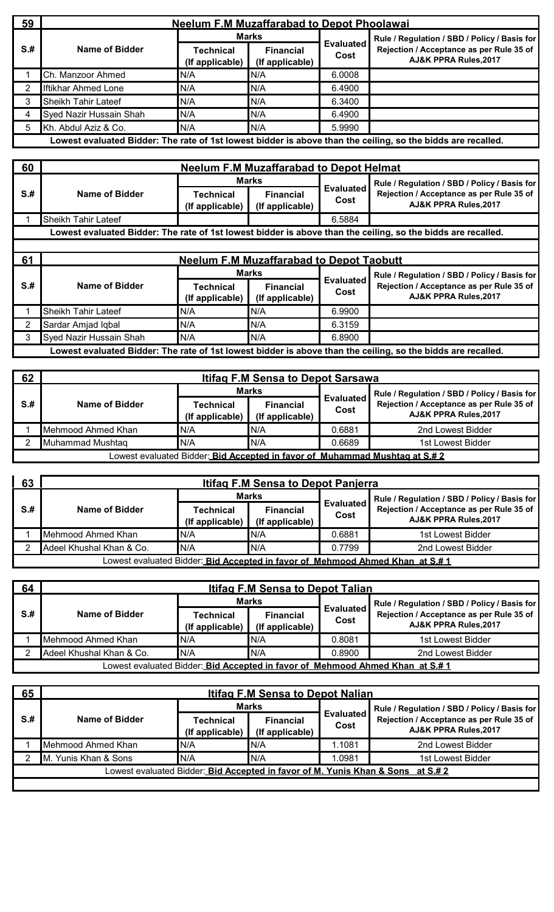| 59   | <b>Neelum F.M Muzaffarabad to Depot Phoolawai</b> |                                     |                                     |                          |                                                                                                              |  |  |
|------|---------------------------------------------------|-------------------------------------|-------------------------------------|--------------------------|--------------------------------------------------------------------------------------------------------------|--|--|
|      |                                                   |                                     | <b>Marks</b>                        |                          | Rule / Regulation / SBD / Policy / Basis for                                                                 |  |  |
| $S+$ | Name of Bidder                                    | <b>Technical</b><br>(If applicable) | <b>Financial</b><br>(If applicable) | <b>Evaluated</b><br>Cost | Rejection / Acceptance as per Rule 35 of<br>AJ&K PPRA Rules, 2017                                            |  |  |
|      | Ch. Manzoor Ahmed                                 | N/A                                 | N/A                                 | 6.0008                   |                                                                                                              |  |  |
|      | <b>Iftikhar Ahmed Lone</b>                        | N/A                                 | IN/A                                | 6.4900                   |                                                                                                              |  |  |
| 3    | Sheikh Tahir Lateef                               | N/A                                 | N/A                                 | 6.3400                   |                                                                                                              |  |  |
| 4    | Syed Nazir Hussain Shah                           | N/A                                 | IN/A                                | 6.4900                   |                                                                                                              |  |  |
| 5    | Kh. Abdul Aziz & Co.                              | N/A                                 | N/A                                 | 5.9990                   |                                                                                                              |  |  |
|      |                                                   |                                     |                                     |                          | Lowest evaluated Bidder: The rate of 1st lowest bidder is above than the ceiling, so the bidds are recalled. |  |  |

| 60  | <b>Neelum F.M Muzaffarabad to Depot Helmat</b> |                              |                                     |                          |                                                                                                              |  |
|-----|------------------------------------------------|------------------------------|-------------------------------------|--------------------------|--------------------------------------------------------------------------------------------------------------|--|
|     |                                                | Marks                        |                                     |                          | Rule / Regulation / SBD / Policy / Basis for                                                                 |  |
| S.H | Name of Bidder                                 | Technical<br>(If applicable) | <b>Financial</b><br>(If applicable) | <b>Evaluated</b><br>Cost | Rejection / Acceptance as per Rule 35 of<br>AJ&K PPRA Rules, 2017                                            |  |
|     | Sheikh Tahir Lateef                            |                              |                                     | 6.5884                   |                                                                                                              |  |
|     |                                                |                              |                                     |                          | Lowest evaluated Bidder: The rate of 1st lowest bidder is above than the ceiling, so the bidds are recalled. |  |
|     |                                                |                              |                                     |                          |                                                                                                              |  |

| 61   | <b>Neelum F.M Muzaffarabad to Depot Taobutt</b> |                                     |                                     |                          |                                                                                                              |  |
|------|-------------------------------------------------|-------------------------------------|-------------------------------------|--------------------------|--------------------------------------------------------------------------------------------------------------|--|
|      |                                                 | <b>Marks</b>                        |                                     |                          | Rule / Regulation / SBD / Policy / Basis for                                                                 |  |
| $S+$ | Name of Bidder                                  | <b>Technical</b><br>(If applicable) | <b>Financial</b><br>(If applicable) | <b>Evaluated</b><br>Cost | Rejection / Acceptance as per Rule 35 of<br>AJ&K PPRA Rules, 2017                                            |  |
|      | <b>Sheikh Tahir Lateef</b>                      | N/A                                 | N/A                                 | 6.9900                   |                                                                                                              |  |
|      | Sardar Amjad Iqbal                              | N/A                                 | IN/A                                | 6.3159                   |                                                                                                              |  |
|      | Syed Nazir Hussain Shah                         | N/A                                 | N/A                                 | 6.8900                   |                                                                                                              |  |
|      |                                                 |                                     |                                     |                          | Lowest evaluated Bidder: The rate of 1st lowest bidder is above than the ceiling, so the bidds are recalled. |  |

| 62   | <b>Itifag F.M Sensa to Depot Sarsawa</b>                                           |                                     |                                     |                          |                                                                             |  |  |  |
|------|------------------------------------------------------------------------------------|-------------------------------------|-------------------------------------|--------------------------|-----------------------------------------------------------------------------|--|--|--|
|      |                                                                                    | <b>Marks</b>                        |                                     |                          | Rule / Regulation / SBD / Policy / Basis for                                |  |  |  |
| $S+$ | Name of Bidder                                                                     | <b>Technical</b><br>(If applicable) | <b>Financial</b><br>(If applicable) | <b>Evaluated</b><br>Cost | Rejection / Acceptance as per Rule 35 of<br><b>AJ&amp;K PPRA Rules.2017</b> |  |  |  |
|      | Mehmood Ahmed Khan                                                                 | N/A                                 | IN/A                                | 0.6881                   | 2nd Lowest Bidder                                                           |  |  |  |
|      | Muhammad Mushtag                                                                   | N/A                                 | IN/A                                | 0.6689                   | 1st Lowest Bidder                                                           |  |  |  |
|      | Lowest evaluated Bidder: <i>Bid Accepted in favor of Muhammad Mushtag at S.# 2</i> |                                     |                                     |                          |                                                                             |  |  |  |

| 63   | <b>Itifag F.M Sensa to Depot Panjerra</b>                                            |                              |                                     |                          |                                                                             |  |  |  |  |
|------|--------------------------------------------------------------------------------------|------------------------------|-------------------------------------|--------------------------|-----------------------------------------------------------------------------|--|--|--|--|
|      |                                                                                      | <b>Marks</b>                 |                                     |                          | Rule / Regulation / SBD / Policy / Basis for                                |  |  |  |  |
| $S+$ | Name of Bidder                                                                       | Technical<br>(If applicable) | <b>Financial</b><br>(If applicable) | <b>Evaluated</b><br>Cost | Rejection / Acceptance as per Rule 35 of<br><b>AJ&amp;K PPRA Rules.2017</b> |  |  |  |  |
|      | Mehmood Ahmed Khan                                                                   | N/A                          | N/A                                 | 0.6881                   | 1st Lowest Bidder                                                           |  |  |  |  |
|      | Adeel Khushal Khan & Co.                                                             | N/A                          | N/A                                 | 0.7799                   | 2nd Lowest Bidder                                                           |  |  |  |  |
|      | Lowest evaluated Bidder: <i>Bid Accepted in favor of Mehmood Ahmed Khan at S.# 1</i> |                              |                                     |                          |                                                                             |  |  |  |  |

| 64  | <b>Itifag F.M Sensa to Depot Talian</b> |                                     |                                     |                          |                                                                                       |  |  |
|-----|-----------------------------------------|-------------------------------------|-------------------------------------|--------------------------|---------------------------------------------------------------------------------------|--|--|
|     |                                         | <b>Marks</b>                        |                                     |                          | Rule / Regulation / SBD / Policy / Basis for                                          |  |  |
| S.# | Name of Bidder                          | <b>Technical</b><br>(If applicable) | <b>Financial</b><br>(If applicable) | <b>Evaluated</b><br>Cost | Rejection / Acceptance as per Rule 35 of<br>AJ&K PPRA Rules, 2017                     |  |  |
|     | Mehmood Ahmed Khan                      | N/A                                 | IN/A                                | 0.8081                   | 1st Lowest Bidder                                                                     |  |  |
|     | Adeel Khushal Khan & Co.                | N/A                                 | IN/A                                | 0.8900                   | 2nd Lowest Bidder                                                                     |  |  |
|     |                                         |                                     |                                     |                          | Lowest evaluated Bidder: <i>Bid Accepted in favor of Mehmood Ahmed Khan  at S.# 1</i> |  |  |

| 65   | <b>Itifag F.M Sensa to Depot Nalian</b> |                              |                                     |                          |                                                                                                                   |  |  |
|------|-----------------------------------------|------------------------------|-------------------------------------|--------------------------|-------------------------------------------------------------------------------------------------------------------|--|--|
|      |                                         |                              | <b>Marks</b>                        |                          | Rule / Regulation / SBD / Policy / Basis for<br>Rejection / Acceptance as per Rule 35 of<br>AJ&K PPRA Rules, 2017 |  |  |
| $S+$ | Name of Bidder                          | Technical<br>(If applicable) | <b>Financial</b><br>(If applicable) | <b>Evaluated</b><br>Cost |                                                                                                                   |  |  |
|      | Mehmood Ahmed Khan                      | N/A                          | N/A                                 | .1081                    | 2nd Lowest Bidder                                                                                                 |  |  |
|      | M. Yunis Khan & Sons                    | N/A                          | N/A                                 | .0981                    | 1st Lowest Bidder                                                                                                 |  |  |
|      |                                         |                              |                                     |                          | Lowest evaluated Bidder: Bid Accepted in favor of M. Yunis Khan & Sons at S.# 2                                   |  |  |
|      |                                         |                              |                                     |                          |                                                                                                                   |  |  |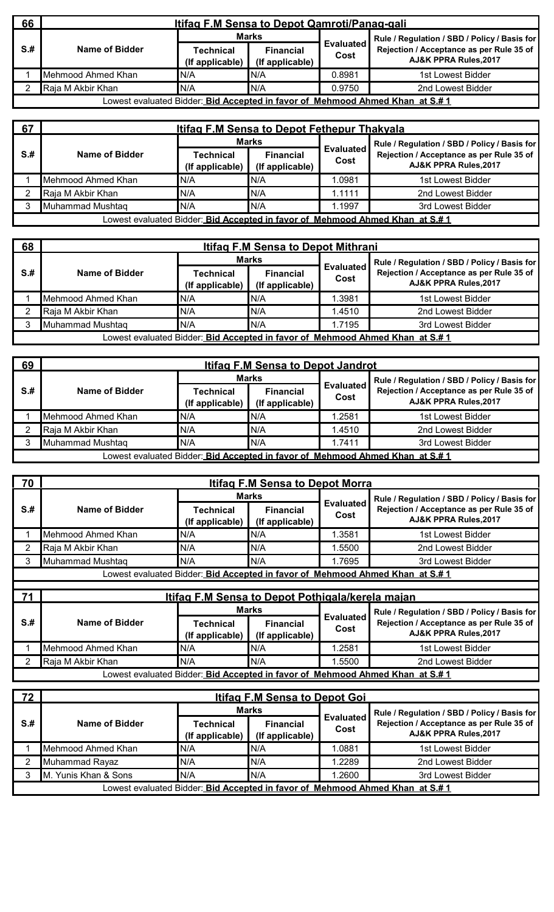| 66   | Itifag F.M Sensa to Depot Qamroti/Panag-gali                                         |                              |                                     |                          |                                                                   |  |  |  |  |
|------|--------------------------------------------------------------------------------------|------------------------------|-------------------------------------|--------------------------|-------------------------------------------------------------------|--|--|--|--|
|      |                                                                                      | <b>Marks</b>                 |                                     |                          | Rule / Regulation / SBD / Policy / Basis for                      |  |  |  |  |
| $S+$ | Name of Bidder                                                                       | Technical<br>(If applicable) | <b>Financial</b><br>(If applicable) | <b>Evaluated</b><br>Cost | Rejection / Acceptance as per Rule 35 of<br>AJ&K PPRA Rules, 2017 |  |  |  |  |
|      | Mehmood Ahmed Khan                                                                   | N/A                          | IN/A                                | 0.8981                   | 1st Lowest Bidder                                                 |  |  |  |  |
|      | Raja M Akbir Khan                                                                    | N/A                          | N/A                                 | 0.9750                   | 2nd Lowest Bidder                                                 |  |  |  |  |
|      | Lowest evaluated Bidder: <i>Bid Accepted in favor of Mehmood Ahmed Khan at S.# 1</i> |                              |                                     |                          |                                                                   |  |  |  |  |

| 67   | <b>Itifag F.M Sensa to Depot Fethepur Thakyala</b>                            |                              |                                     |                          |                                                                   |  |  |  |  |
|------|-------------------------------------------------------------------------------|------------------------------|-------------------------------------|--------------------------|-------------------------------------------------------------------|--|--|--|--|
|      |                                                                               | <b>Marks</b>                 |                                     |                          | Rule / Regulation / SBD / Policy / Basis for                      |  |  |  |  |
| $S+$ | Name of Bidder                                                                | Technical<br>(If applicable) | <b>Financial</b><br>(If applicable) | <b>Evaluated</b><br>Cost | Rejection / Acceptance as per Rule 35 of<br>AJ&K PPRA Rules, 2017 |  |  |  |  |
|      | Mehmood Ahmed Khan                                                            | N/A                          | N/A                                 | .0981                    | 1st Lowest Bidder                                                 |  |  |  |  |
|      | Raja M Akbir Khan                                                             | IN/A                         | IN/A                                | 1.1111                   | 2nd Lowest Bidder                                                 |  |  |  |  |
|      | Muhammad Mushtaq                                                              | N/A                          | N/A                                 | .1997                    | 3rd Lowest Bidder                                                 |  |  |  |  |
|      | Lowest evaluated Bidder: Bid Accepted in favor of Mehmood Ahmed Khan at S.# 1 |                              |                                     |                          |                                                                   |  |  |  |  |

| 68   | <b>Itifag F.M Sensa to Depot Mithrani</b>                                     |                                     |                                     |                          |                                                                   |  |  |  |  |
|------|-------------------------------------------------------------------------------|-------------------------------------|-------------------------------------|--------------------------|-------------------------------------------------------------------|--|--|--|--|
|      |                                                                               | <b>Marks</b>                        |                                     |                          | Rule / Regulation / SBD / Policy / Basis for                      |  |  |  |  |
| $S+$ | Name of Bidder                                                                | <b>Technical</b><br>(If applicable) | <b>Financial</b><br>(If applicable) | <b>Evaluated</b><br>Cost | Rejection / Acceptance as per Rule 35 of<br>AJ&K PPRA Rules, 2017 |  |  |  |  |
|      | Mehmood Ahmed Khan                                                            | N/A                                 | N/A                                 | 1.3981                   | 1st Lowest Bidder                                                 |  |  |  |  |
|      | Raja M Akbir Khan                                                             | N/A                                 | IN/A                                | 1.4510                   | 2nd Lowest Bidder                                                 |  |  |  |  |
|      | Muhammad Mushtag                                                              | N/A                                 | IN/A                                | 1.7195                   | 3rd Lowest Bidder                                                 |  |  |  |  |
|      | Lowest evaluated Bidder: Bid Accepted in favor of Mehmood Ahmed Khan at S.# 1 |                                     |                                     |                          |                                                                   |  |  |  |  |

| 69                                                                                   | <b>Itifag F.M Sensa to Depot Jandrot</b> |                                     |                                     |                          |                                                                   |  |  |  |
|--------------------------------------------------------------------------------------|------------------------------------------|-------------------------------------|-------------------------------------|--------------------------|-------------------------------------------------------------------|--|--|--|
|                                                                                      |                                          | <b>Marks</b>                        |                                     |                          | Rule / Regulation / SBD / Policy / Basis for                      |  |  |  |
| $S+$                                                                                 | Name of Bidder                           | <b>Technical</b><br>(If applicable) | <b>Financial</b><br>(If applicable) | <b>Evaluated</b><br>Cost | Rejection / Acceptance as per Rule 35 of<br>AJ&K PPRA Rules, 2017 |  |  |  |
|                                                                                      | Mehmood Ahmed Khan                       | N/A                                 | IN/A                                | 1.2581                   | 1st Lowest Bidder                                                 |  |  |  |
|                                                                                      | Raja M Akbir Khan                        | N/A                                 | IN/A                                | 1.4510                   | 2nd Lowest Bidder                                                 |  |  |  |
|                                                                                      | Muhammad Mushtag                         | N/A                                 | IN/A                                | 1.7411                   | 3rd Lowest Bidder                                                 |  |  |  |
| Lowest evaluated Bidder: <i>Bid Accepted in favor of Mehmood Ahmed Khan at S.# 1</i> |                                          |                                     |                                     |                          |                                                                   |  |  |  |

| $\overline{1}$ 70                                                                    | <b>Itifag F.M Sensa to Depot Morra</b> |                              |                                     |                          |                                                                   |  |  |  |
|--------------------------------------------------------------------------------------|----------------------------------------|------------------------------|-------------------------------------|--------------------------|-------------------------------------------------------------------|--|--|--|
|                                                                                      |                                        |                              | Marks                               |                          | Rule / Regulation / SBD / Policy / Basis for                      |  |  |  |
| S.#                                                                                  | Name of Bidder                         | Technical<br>(If applicable) | <b>Financial</b><br>(If applicable) | <b>Evaluated</b><br>Cost | Rejection / Acceptance as per Rule 35 of<br>AJ&K PPRA Rules, 2017 |  |  |  |
|                                                                                      | Mehmood Ahmed Khan                     | N/A                          | N/A                                 | .3581                    | 1st Lowest Bidder                                                 |  |  |  |
|                                                                                      | Raja M Akbir Khan                      | N/A                          | N/A                                 | .5500                    | 2nd Lowest Bidder                                                 |  |  |  |
|                                                                                      | Muhammad Mushtag                       | N/A                          | N/A                                 | 1.7695                   | 3rd Lowest Bidder                                                 |  |  |  |
| Lowest evaluated Bidder: <i>Bid Accepted in favor of Mehmood Ahmed Khan at S.# 1</i> |                                        |                              |                                     |                          |                                                                   |  |  |  |

| 71<br>Itifag F.M Sensa to Depot Pothigala/kerela majan |                    |                              |                                     |                          |                                                                               |  |
|--------------------------------------------------------|--------------------|------------------------------|-------------------------------------|--------------------------|-------------------------------------------------------------------------------|--|
|                                                        |                    | <b>Marks</b>                 |                                     |                          | Rule / Regulation / SBD / Policy / Basis for                                  |  |
| $S+$                                                   | Name of Bidder     | Technical<br>(If applicable) | <b>Financial</b><br>(If applicable) | <b>Evaluated</b><br>Cost | Rejection / Acceptance as per Rule 35 of<br>AJ&K PPRA Rules, 2017             |  |
|                                                        | Mehmood Ahmed Khan | N/A                          | IN/A                                | .2581                    | 1st Lowest Bidder                                                             |  |
|                                                        | Raja M Akbir Khan  | N/A                          | IN/A                                | .5500                    | 2nd Lowest Bidder                                                             |  |
|                                                        |                    |                              |                                     |                          | Lowest evaluated Bidder: Bid Accepted in favor of Mehmood Ahmed Khan at S.# 1 |  |

| 72   | <b>Itifag F.M Sensa to Depot Goi</b> |                              |                                                                 |       |                                                                               |  |  |  |
|------|--------------------------------------|------------------------------|-----------------------------------------------------------------|-------|-------------------------------------------------------------------------------|--|--|--|
|      |                                      | <b>Marks</b>                 |                                                                 |       | Rule / Regulation / SBD / Policy / Basis for                                  |  |  |  |
| $S+$ | Name of Bidder                       | Technical<br>(If applicable) | <b>Evaluated</b><br><b>Financial</b><br>Cost<br>(If applicable) |       | Rejection / Acceptance as per Rule 35 of<br>AJ&K PPRA Rules, 2017             |  |  |  |
|      | Mehmood Ahmed Khan                   | N/A                          | N/A                                                             | .0881 | 1st Lowest Bidder                                                             |  |  |  |
|      | Muhammad Rayaz                       | N/A                          | N/A                                                             | .2289 | 2nd Lowest Bidder                                                             |  |  |  |
|      | M. Yunis Khan & Sons                 | N/A                          | N/A                                                             | .2600 | 3rd Lowest Bidder                                                             |  |  |  |
|      |                                      |                              |                                                                 |       | Lowest evaluated Bidder: Bid Accepted in favor of Mehmood Ahmed Khan at S.# 1 |  |  |  |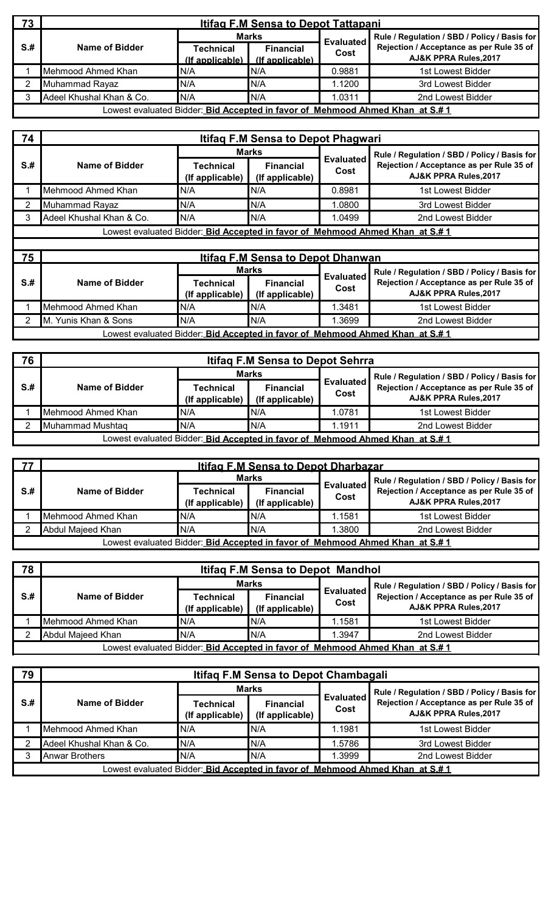| 73   | <b>Itifag F.M Sensa to Depot Tattapani</b>                                    |                                     |                                     |                  |                                                                   |  |  |  |
|------|-------------------------------------------------------------------------------|-------------------------------------|-------------------------------------|------------------|-------------------------------------------------------------------|--|--|--|
|      |                                                                               | Marks                               |                                     | <b>Evaluated</b> | Rule / Regulation / SBD / Policy / Basis for                      |  |  |  |
| $S+$ | Name of Bidder                                                                | <b>Technical</b><br>(If applicable) | <b>Financial</b><br>(If applicable) | Cost             | Rejection / Acceptance as per Rule 35 of<br>AJ&K PPRA Rules, 2017 |  |  |  |
|      | Mehmood Ahmed Khan                                                            | N/A                                 | IN/A                                | 0.9881           | 1st Lowest Bidder                                                 |  |  |  |
|      | Muhammad Rayaz                                                                | N/A                                 | N/A                                 | 1.1200           | 3rd Lowest Bidder                                                 |  |  |  |
|      | Adeel Khushal Khan & Co.                                                      | N/A                                 | N/A                                 | .0311            | 2nd Lowest Bidder                                                 |  |  |  |
|      | Lowest evaluated Bidder: Bid Accepted in favor of Mehmood Ahmed Khan at S.# 1 |                                     |                                     |                  |                                                                   |  |  |  |

| 74   | Itifag F.M Sensa to Depot Phagwari |                                     |                                          |                          |                                                                               |  |  |  |  |
|------|------------------------------------|-------------------------------------|------------------------------------------|--------------------------|-------------------------------------------------------------------------------|--|--|--|--|
|      |                                    |                                     | <b>Marks</b>                             |                          | Rule / Regulation / SBD / Policy / Basis for                                  |  |  |  |  |
| $S+$ | Name of Bidder                     | Technical<br>(If applicable)        | <b>Financial</b><br>(If applicable)      | <b>Evaluated</b><br>Cost | Rejection / Acceptance as per Rule 35 of<br>AJ&K PPRA Rules, 2017             |  |  |  |  |
|      | Mehmood Ahmed Khan                 | N/A                                 | N/A                                      | 0.8981                   | 1st Lowest Bidder                                                             |  |  |  |  |
|      | Muhammad Rayaz                     | N/A                                 | N/A                                      | 1.0800                   | 3rd Lowest Bidder                                                             |  |  |  |  |
|      | Adeel Khushal Khan & Co.           | N/A                                 | N/A                                      | 1.0499                   | 2nd Lowest Bidder                                                             |  |  |  |  |
|      |                                    |                                     |                                          |                          | Lowest evaluated Bidder: Bid Accepted in favor of Mehmood Ahmed Khan at S.# 1 |  |  |  |  |
|      |                                    |                                     |                                          |                          |                                                                               |  |  |  |  |
| 75   |                                    |                                     | <b>Itifag F.M Sensa to Depot Dhanwan</b> |                          |                                                                               |  |  |  |  |
|      |                                    |                                     | Marks                                    | <b>Evaluated</b>         | Rule / Regulation / SBD / Policy / Basis for                                  |  |  |  |  |
| $S+$ | Name of Bidder                     | <b>Technical</b><br>(If applicable) | <b>Financial</b><br>(If applicable)      | Cost                     | Rejection / Acceptance as per Rule 35 of<br>AJ&K PPRA Rules, 2017             |  |  |  |  |
|      | Mehmood Ahmed Khan                 | N/A                                 | N/A                                      | 1.3481                   | 1st Lowest Bidder                                                             |  |  |  |  |
|      | M. Yunis Khan & Sons               | N/A                                 | N/A                                      | 1.3699                   | 2nd Lowest Bidder                                                             |  |  |  |  |

Lowest evaluated Bidder: **Bid Accepted in favor of Mehmood Ahmed Khan at S.# 1**

| . 76 ' | <b>Itifaq F.M Sensa to Depot Sehrra</b>                                                |                              |                                     |                          |                                                                             |  |  |  |
|--------|----------------------------------------------------------------------------------------|------------------------------|-------------------------------------|--------------------------|-----------------------------------------------------------------------------|--|--|--|
|        |                                                                                        | <b>Marks</b>                 |                                     |                          | Rule / Regulation / SBD / Policy / Basis for                                |  |  |  |
| S.#    | Name of Bidder                                                                         | Technical<br>(If applicable) | <b>Financial</b><br>(If applicable) | <b>Evaluated</b><br>Cost | Rejection / Acceptance as per Rule 35 of<br><b>AJ&amp;K PPRA Rules.2017</b> |  |  |  |
|        | Mehmood Ahmed Khan                                                                     | N/A                          | IN/A                                | 1.0781                   | 1st Lowest Bidder                                                           |  |  |  |
|        | Muhammad Mushtag                                                                       | N/A                          | N/A                                 | 1.1911                   | 2nd Lowest Bidder                                                           |  |  |  |
|        | Lowest evaluated Bidder: <b>_Bid Accepted in favor of _Mehmood Ahmed Khan_at S.# 1</b> |                              |                                     |                          |                                                                             |  |  |  |

| 77   | <b>Itifag F.M Sensa to Depot Dharbazar</b>                                            |                              |                                     |                  |                                                                   |  |  |
|------|---------------------------------------------------------------------------------------|------------------------------|-------------------------------------|------------------|-------------------------------------------------------------------|--|--|
|      |                                                                                       | Marks                        |                                     | <b>Evaluated</b> | Rule / Regulation / SBD / Policy / Basis for                      |  |  |
| $S+$ | Name of Bidder                                                                        | Technical<br>(If applicable) | <b>Financial</b><br>(If applicable) |                  | Rejection / Acceptance as per Rule 35 of<br>AJ&K PPRA Rules, 2017 |  |  |
|      | Mehmood Ahmed Khan                                                                    | IN/A                         | N/A                                 | 1.1581           | 1st Lowest Bidder                                                 |  |  |
|      | Abdul Maieed Khan                                                                     | N/A                          | N/A                                 | .3800            | 2nd Lowest Bidder                                                 |  |  |
|      | Lowest evaluated Bidder: <b>Bid Accepted in favor of Mehmood Ahmed Khan  at S.# 1</b> |                              |                                     |                  |                                                                   |  |  |

| 78  | Itifag F.M Sensa to Depot Mandhol |                                     |                                     |                          |                                                                               |  |
|-----|-----------------------------------|-------------------------------------|-------------------------------------|--------------------------|-------------------------------------------------------------------------------|--|
|     |                                   | Marks                               |                                     |                          | Rule / Regulation / SBD / Policy / Basis for                                  |  |
| S.# | Name of Bidder                    | <b>Technical</b><br>(If applicable) | <b>Financial</b><br>(If applicable) | <b>Evaluated</b><br>Cost | Rejection / Acceptance as per Rule 35 of<br>AJ&K PPRA Rules, 2017             |  |
|     | Mehmood Ahmed Khan                | N/A                                 | IN/A                                | 1.1581                   | 1st Lowest Bidder                                                             |  |
|     | Abdul Majeed Khan                 | N/A                                 | IN/A                                | .3947                    | 2nd Lowest Bidder                                                             |  |
|     |                                   |                                     |                                     |                          | Lowest evaluated Bidder: Bid Accepted in favor of Mehmood Ahmed Khan at S.# 1 |  |

| 79                                                                                   | Itifaq F.M Sensa to Depot Chambagali |                              |                                     |                          |                                                                   |  |  |
|--------------------------------------------------------------------------------------|--------------------------------------|------------------------------|-------------------------------------|--------------------------|-------------------------------------------------------------------|--|--|
|                                                                                      |                                      |                              | <b>Marks</b>                        |                          | Rule / Regulation / SBD / Policy / Basis for                      |  |  |
| $S+$                                                                                 | Name of Bidder                       | Technical<br>(If applicable) | <b>Financial</b><br>(If applicable) | <b>Evaluated</b><br>Cost | Rejection / Acceptance as per Rule 35 of<br>AJ&K PPRA Rules, 2017 |  |  |
|                                                                                      | Mehmood Ahmed Khan                   | N/A                          | IN/A                                | 1.1981                   | 1st Lowest Bidder                                                 |  |  |
|                                                                                      | Adeel Khushal Khan & Co.             | N/A                          | IN/A                                | 1.5786                   | 3rd Lowest Bidder                                                 |  |  |
|                                                                                      | <b>Anwar Brothers</b>                | N/A                          | IN/A                                | .3999                    | 2nd Lowest Bidder                                                 |  |  |
| Lowest evaluated Bidder: <b>Bid Accepted in favor of Mehmood Ahmed Khan at S.# 1</b> |                                      |                              |                                     |                          |                                                                   |  |  |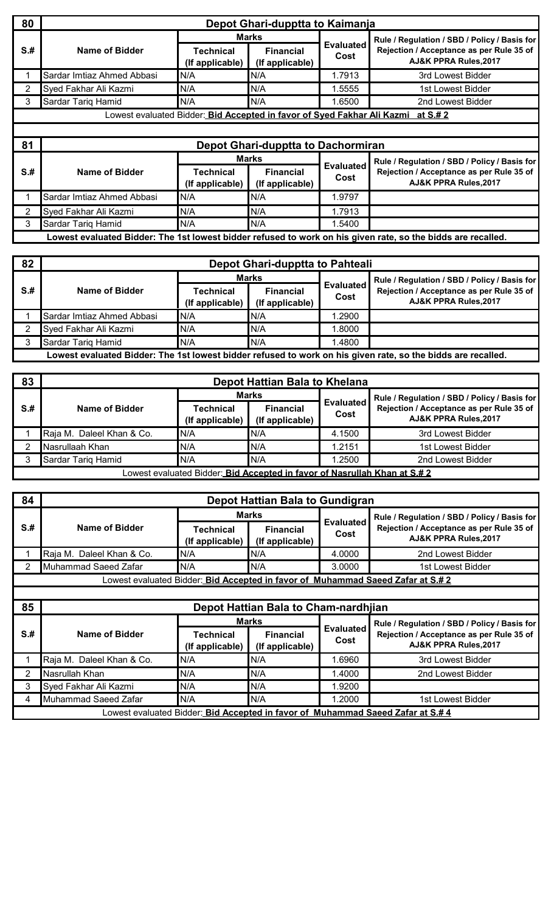| 80   | Depot Ghari-dupptta to Kaimanja |                                                                                  |                                     |                          |                                                                                                                   |  |  |  |
|------|---------------------------------|----------------------------------------------------------------------------------|-------------------------------------|--------------------------|-------------------------------------------------------------------------------------------------------------------|--|--|--|
|      |                                 |                                                                                  | <b>Marks</b>                        |                          | Rule / Regulation / SBD / Policy / Basis for                                                                      |  |  |  |
| $S+$ | Name of Bidder                  | <b>Technical</b><br>(If applicable)                                              | <b>Financial</b><br>(If applicable) | <b>Evaluated</b><br>Cost | Rejection / Acceptance as per Rule 35 of<br><b>AJ&amp;K PPRA Rules, 2017</b>                                      |  |  |  |
|      | Sardar Imtiaz Ahmed Abbasi      | N/A                                                                              | N/A                                 | 1.7913                   | 3rd Lowest Bidder                                                                                                 |  |  |  |
| 2    | Syed Fakhar Ali Kazmi           | N/A                                                                              | N/A                                 | 1.5555                   | 1st Lowest Bidder                                                                                                 |  |  |  |
| 3    | Sardar Tariq Hamid              | N/A                                                                              | N/A                                 | 1.6500                   | 2nd Lowest Bidder                                                                                                 |  |  |  |
|      |                                 |                                                                                  |                                     |                          |                                                                                                                   |  |  |  |
|      |                                 | Lowest evaluated Bidder: Bid Accepted in favor of Syed Fakhar Ali Kazmi at S.# 2 |                                     |                          |                                                                                                                   |  |  |  |
|      |                                 |                                                                                  |                                     |                          |                                                                                                                   |  |  |  |
| 81   |                                 |                                                                                  | Depot Ghari-dupptta to Dachormiran  |                          |                                                                                                                   |  |  |  |
|      |                                 |                                                                                  | <b>Marks</b>                        |                          |                                                                                                                   |  |  |  |
| $S+$ | Name of Bidder                  | <b>Technical</b><br>(If applicable)                                              | <b>Financial</b><br>(If applicable) | <b>Evaluated</b><br>Cost | Rule / Regulation / SBD / Policy / Basis for<br>Rejection / Acceptance as per Rule 35 of<br>AJ&K PPRA Rules, 2017 |  |  |  |
|      | Sardar Imtiaz Ahmed Abbasi      | N/A                                                                              | N/A                                 | 1.9797                   |                                                                                                                   |  |  |  |
| 2    | Syed Fakhar Ali Kazmi           | N/A                                                                              | N/A                                 | 1.7913                   |                                                                                                                   |  |  |  |
| 3    | Sardar Tariq Hamid              | N/A                                                                              | N/A                                 | 1.5400                   |                                                                                                                   |  |  |  |

| 82   | Depot Ghari-dupptta to Pahteali                                                                              |                                     |                                     |                          |                                                                   |  |  |  |
|------|--------------------------------------------------------------------------------------------------------------|-------------------------------------|-------------------------------------|--------------------------|-------------------------------------------------------------------|--|--|--|
|      |                                                                                                              | <b>Marks</b>                        |                                     |                          | Rule / Regulation / SBD / Policy / Basis for                      |  |  |  |
| $S+$ | Name of Bidder                                                                                               | <b>Technical</b><br>(If applicable) | <b>Financial</b><br>(If applicable) | <b>Evaluated</b><br>Cost | Rejection / Acceptance as per Rule 35 of<br>AJ&K PPRA Rules, 2017 |  |  |  |
|      | Sardar Imtiaz Ahmed Abbasi                                                                                   | N/A                                 | IN/A                                | 1.2900                   |                                                                   |  |  |  |
|      | Syed Fakhar Ali Kazmi                                                                                        | N/A                                 | IN/A                                | 1.8000                   |                                                                   |  |  |  |
|      | Sardar Tariq Hamid                                                                                           | N/A                                 | N/A                                 | 1.4800                   |                                                                   |  |  |  |
|      | Lowest evaluated Bidder: The 1st lowest bidder refused to work on his given rate, so the bidds are recalled. |                                     |                                     |                          |                                                                   |  |  |  |

| 83   | Depot Hattian Bala to Khelana |                                                                           |                                     |                          |                                                                   |  |  |
|------|-------------------------------|---------------------------------------------------------------------------|-------------------------------------|--------------------------|-------------------------------------------------------------------|--|--|
|      |                               |                                                                           | <b>Marks</b>                        |                          | Rule / Regulation / SBD / Policy / Basis for                      |  |  |
| $S+$ | Name of Bidder                | Technical<br>(If applicable)                                              | <b>Financial</b><br>(If applicable) | <b>Evaluated</b><br>Cost | Rejection / Acceptance as per Rule 35 of<br>AJ&K PPRA Rules, 2017 |  |  |
|      | Raja M. Daleel Khan & Co.     | N/A                                                                       | N/A                                 | 4.1500                   | 3rd Lowest Bidder                                                 |  |  |
|      | Nasrullaah Khan               | N/A                                                                       | IN/A                                | 1.2151                   | 1st Lowest Bidder                                                 |  |  |
|      | Sardar Tariq Hamid            | N/A                                                                       | N/A                                 | .2500                    | 2nd Lowest Bidder                                                 |  |  |
|      |                               | Lowest evaluated Bidder: Bid Accepted in favor of Nasrullah Khan at S.# 2 |                                     |                          |                                                                   |  |  |

| 84   | <b>Depot Hattian Bala to Gundigran</b> |                                     |                                      |                          |                                                                                        |  |  |  |
|------|----------------------------------------|-------------------------------------|--------------------------------------|--------------------------|----------------------------------------------------------------------------------------|--|--|--|
|      |                                        | Marks                               |                                      |                          | Rule / Regulation / SBD / Policy / Basis for                                           |  |  |  |
| $S+$ | Name of Bidder                         | Technical<br>(If applicable)        | <b>Financial</b><br>(If applicable)  | <b>Evaluated</b><br>Cost | Rejection / Acceptance as per Rule 35 of<br>AJ&K PPRA Rules, 2017                      |  |  |  |
|      | Raja M. Daleel Khan & Co.              | N/A                                 | N/A                                  | 4.0000                   | 2nd Lowest Bidder                                                                      |  |  |  |
|      | Muhammad Saeed Zafar                   | N/A                                 | N/A                                  | 3.0000                   | 1st Lowest Bidder                                                                      |  |  |  |
|      |                                        |                                     |                                      |                          | Lowest evaluated Bidder: Bid Accepted in favor of Muhammad Saeed Zafar at S.# 2        |  |  |  |
|      |                                        |                                     |                                      |                          |                                                                                        |  |  |  |
| 85   |                                        |                                     | Depot Hattian Bala to Cham-nardhjian |                          |                                                                                        |  |  |  |
|      |                                        | <b>Marks</b>                        |                                      |                          | Rule / Regulation / SBD / Policy / Basis for                                           |  |  |  |
| $S+$ | Name of Bidder                         | <b>Technical</b><br>(If applicable) | <b>Financial</b><br>(If applicable)  | <b>Evaluated</b><br>Cost | Rejection / Acceptance as per Rule 35 of<br>AJ&K PPRA Rules, 2017                      |  |  |  |
|      | Raja M. Daleel Khan & Co.              | N/A                                 | N/A                                  | 1.6960                   | 3rd Lowest Bidder                                                                      |  |  |  |
| 2    | Nasrullah Khan                         | N/A                                 | N/A                                  | 1.4000                   | 2nd Lowest Bidder                                                                      |  |  |  |
| 3    | Syed Fakhar Ali Kazmi                  | N/A                                 | N/A                                  | 1.9200                   |                                                                                        |  |  |  |
| 4    | Muhammad Saeed Zafar                   | N/A                                 | N/A                                  | 1.2000                   | 1st Lowest Bidder                                                                      |  |  |  |
|      |                                        |                                     |                                      |                          | Lowest evaluated Bidder: <i>Bid Accepted in favor of Muhammad Saeed Zafar at S.# 4</i> |  |  |  |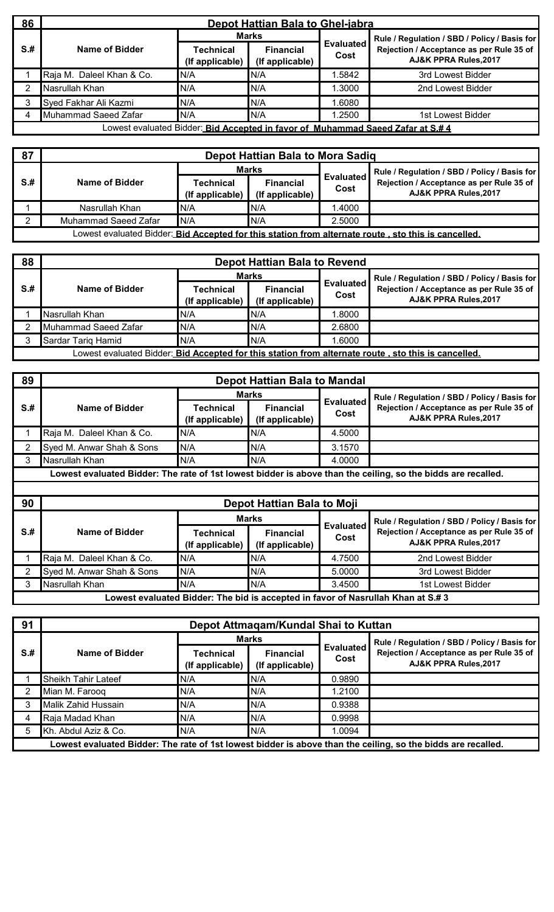| 86   | Depot Hattian Bala to Ghel-jabra                                                |                              |                                     |                          |                                                                   |  |  |  |  |
|------|---------------------------------------------------------------------------------|------------------------------|-------------------------------------|--------------------------|-------------------------------------------------------------------|--|--|--|--|
|      |                                                                                 |                              | <b>Marks</b>                        |                          | Rule / Regulation / SBD / Policy / Basis for                      |  |  |  |  |
| $S+$ | Name of Bidder                                                                  | Technical<br>(If applicable) | <b>Financial</b><br>(If applicable) | <b>Evaluated</b><br>Cost | Rejection / Acceptance as per Rule 35 of<br>AJ&K PPRA Rules, 2017 |  |  |  |  |
|      | Raja M. Daleel Khan & Co.                                                       | N/A                          | N/A                                 | .5842                    | 3rd Lowest Bidder                                                 |  |  |  |  |
|      | Nasrullah Khan                                                                  | N/A                          | N/A                                 | .3000                    | 2nd Lowest Bidder                                                 |  |  |  |  |
|      | Syed Fakhar Ali Kazmi                                                           | N/A                          | N/A                                 | .6080                    |                                                                   |  |  |  |  |
| 4    | Muhammad Saeed Zafar                                                            | N/A                          | N/A                                 | .2500                    | 1st Lowest Bidder                                                 |  |  |  |  |
|      | Lowest evaluated Bidder: Bid Accepted in favor of Muhammad Saeed Zafar at S.# 4 |                              |                                     |                          |                                                                   |  |  |  |  |

| 87  | Depot Hattian Bala to Mora Sadiq |                                     |                                     |                          |                                                                                                            |  |  |
|-----|----------------------------------|-------------------------------------|-------------------------------------|--------------------------|------------------------------------------------------------------------------------------------------------|--|--|
|     |                                  | Marks                               |                                     |                          | Rule / Regulation / SBD / Policy / Basis for                                                               |  |  |
| S.# | Name of Bidder                   | <b>Technical</b><br>(If applicable) | <b>Financial</b><br>(If applicable) | <b>Evaluated</b><br>Cost | Rejection / Acceptance as per Rule 35 of<br>AJ&K PPRA Rules, 2017                                          |  |  |
|     | Nasrullah Khan                   | N/A                                 | IN/A                                | 1.4000                   |                                                                                                            |  |  |
|     | <b>Muhammad Saeed Zafar</b>      | N/A                                 | IN/A                                | 2.5000                   |                                                                                                            |  |  |
|     |                                  |                                     |                                     |                          | Lowest evaluated Bidder: <b>Bid Accepted for this station from alternate route, sto this is cancelled.</b> |  |  |

| 88   | <b>Depot Hattian Bala to Revend</b> |                              |                                     |                          |                                                                                                            |  |  |
|------|-------------------------------------|------------------------------|-------------------------------------|--------------------------|------------------------------------------------------------------------------------------------------------|--|--|
|      |                                     | <b>Marks</b>                 |                                     |                          | Rule / Regulation / SBD / Policy / Basis for                                                               |  |  |
| $S+$ | Name of Bidder                      | Technical<br>(If applicable) | <b>Financial</b><br>(If applicable) | <b>Evaluated</b><br>Cost | Rejection / Acceptance as per Rule 35 of<br>AJ&K PPRA Rules, 2017                                          |  |  |
|      | Nasrullah Khan                      | N/A                          | IN/A                                | .8000                    |                                                                                                            |  |  |
|      | Muhammad Saeed Zafar                | N/A                          | N/A                                 | 2.6800                   |                                                                                                            |  |  |
|      | Sardar Tarig Hamid                  | N/A                          | N/A                                 | .6000                    |                                                                                                            |  |  |
|      |                                     |                              |                                     |                          | Lowest evaluated Bidder: <b>Bid Accepted for this station from alternate route, sto this is cancelled.</b> |  |  |

| 89              | <b>Depot Hattian Bala to Mandal</b> |                                     |                                     |                          |                                                                                                                              |  |
|-----------------|-------------------------------------|-------------------------------------|-------------------------------------|--------------------------|------------------------------------------------------------------------------------------------------------------------------|--|
|                 | Name of Bidder                      | Marks                               |                                     |                          | Rule / Regulation / SBD / Policy / Basis for                                                                                 |  |
| $S+$            |                                     | Technical<br>(If applicable)        | <b>Financial</b><br>(If applicable) | <b>Evaluated</b><br>Cost | Rejection / Acceptance as per Rule 35 of<br><b>AJ&amp;K PPRA Rules, 2017</b>                                                 |  |
|                 | Raja M. Daleel Khan & Co.           | N/A                                 | N/A                                 | 4.5000                   |                                                                                                                              |  |
|                 | Syed M. Anwar Shah & Sons           | N/A                                 | N/A                                 | 3.1570                   |                                                                                                                              |  |
| 3               | Nasrullah Khan                      | N/A                                 | N/A                                 | 4.0000                   |                                                                                                                              |  |
|                 |                                     |                                     |                                     |                          | Lowest evaluated Bidder: The rate of 1st lowest bidder is above than the ceiling, so the bidds are recalled.                 |  |
|                 |                                     |                                     |                                     |                          |                                                                                                                              |  |
|                 |                                     |                                     |                                     |                          |                                                                                                                              |  |
| 90              |                                     |                                     | Depot Hattian Bala to Moji          |                          |                                                                                                                              |  |
|                 |                                     |                                     | <b>Marks</b>                        |                          |                                                                                                                              |  |
| S <sub>.#</sub> | Name of Bidder                      | <b>Technical</b><br>(If applicable) | <b>Financial</b><br>(If applicable) | <b>Evaluated</b><br>Cost | Rule / Regulation / SBD / Policy / Basis for<br>Rejection / Acceptance as per Rule 35 of<br><b>AJ&amp;K PPRA Rules, 2017</b> |  |
|                 | Raja M. Daleel Khan & Co.           | N/A                                 | N/A                                 | 4.7500                   | 2nd Lowest Bidder                                                                                                            |  |
|                 | Syed M. Anwar Shah & Sons           | N/A                                 | N/A                                 | 5.0000                   | 3rd Lowest Bidder                                                                                                            |  |
| 3               | Nasrullah Khan                      | N/A                                 | N/A                                 | 3.4500                   | 1st Lowest Bidder                                                                                                            |  |

| 91   | Depot Attmagam/Kundal Shai to Kuttan |                              |                                     |                          |                                                                                                              |
|------|--------------------------------------|------------------------------|-------------------------------------|--------------------------|--------------------------------------------------------------------------------------------------------------|
|      | Name of Bidder                       | <b>Marks</b>                 |                                     |                          | Rule / Regulation / SBD / Policy / Basis for                                                                 |
| $S+$ |                                      | Technical<br>(If applicable) | <b>Financial</b><br>(If applicable) | <b>Evaluated</b><br>Cost | Rejection / Acceptance as per Rule 35 of<br>AJ&K PPRA Rules, 2017                                            |
|      | Sheikh Tahir Lateef                  | N/A                          | N/A                                 | 0.9890                   |                                                                                                              |
|      | Mian M. Farooq                       | N/A                          | N/A                                 | 1.2100                   |                                                                                                              |
|      | Malik Zahid Hussain                  | N/A                          | N/A                                 | 0.9388                   |                                                                                                              |
|      | Raja Madad Khan                      | N/A                          | IN/A                                | 0.9998                   |                                                                                                              |
| 5    | Kh. Abdul Aziz & Co.                 | N/A                          | N/A                                 | 1.0094                   |                                                                                                              |
|      |                                      |                              |                                     |                          | Lowest evaluated Bidder: The rate of 1st lowest bidder is above than the ceiling, so the bidds are recalled. |